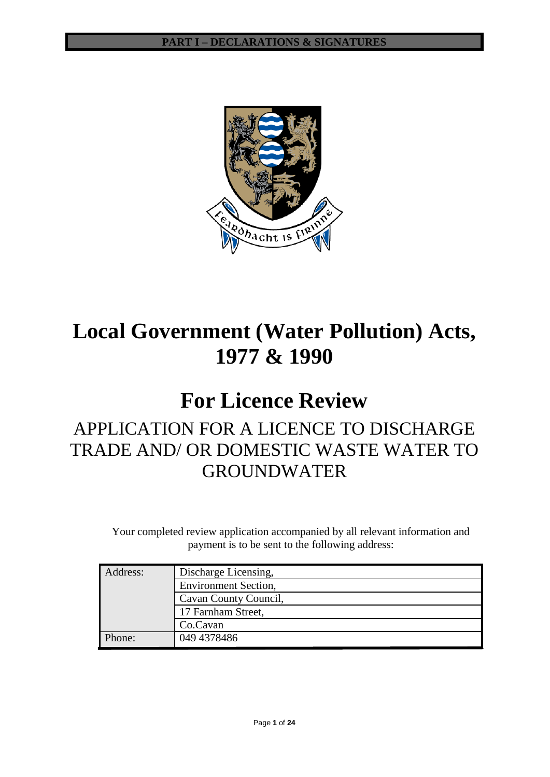

# **Local Government (Water Pollution) Acts, 1977 & 1990**

# **For Licence Review**

# APPLICATION FOR A LICENCE TO DISCHARGE TRADE AND/ OR DOMESTIC WASTE WATER TO GROUNDWATER

Your completed review application accompanied by all relevant information and payment is to be sent to the following address:

| Address: | Discharge Licensing,        |
|----------|-----------------------------|
|          | <b>Environment Section,</b> |
|          | Cavan County Council,       |
|          | 17 Farnham Street,          |
|          | Co.Cavan                    |
| Phone:   | 049 4378486                 |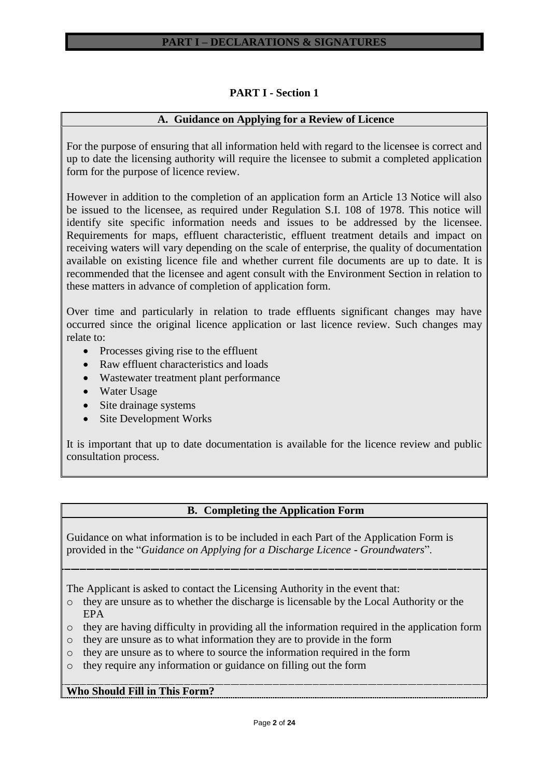# **PART I - Section 1**

# **A. Guidance on Applying for a Review of Licence**

For the purpose of ensuring that all information held with regard to the licensee is correct and up to date the licensing authority will require the licensee to submit a completed application form for the purpose of licence review.

However in addition to the completion of an application form an Article 13 Notice will also be issued to the licensee, as required under Regulation S.I. 108 of 1978. This notice will identify site specific information needs and issues to be addressed by the licensee. Requirements for maps, effluent characteristic, effluent treatment details and impact on receiving waters will vary depending on the scale of enterprise, the quality of documentation available on existing licence file and whether current file documents are up to date. It is recommended that the licensee and agent consult with the Environment Section in relation to these matters in advance of completion of application form.

Over time and particularly in relation to trade effluents significant changes may have occurred since the original licence application or last licence review. Such changes may relate to:

- Processes giving rise to the effluent
- Raw effluent characteristics and loads
- Wastewater treatment plant performance
- Water Usage
- Site drainage systems
- Site Development Works

It is important that up to date documentation is available for the licence review and public consultation process.

# **B. Completing the Application Form**

Guidance on what information is to be included in each Part of the Application Form is provided in the "*Guidance on Applying for a Discharge Licence - Groundwaters*".

The Applicant is asked to contact the Licensing Authority in the event that:

- o they are unsure as to whether the discharge is licensable by the Local Authority or the EPA
- o they are having difficulty in providing all the information required in the application form
- o they are unsure as to what information they are to provide in the form
- o they are unsure as to where to source the information required in the form
- o they require any information or guidance on filling out the form

# **Who Should Fill in This Form?**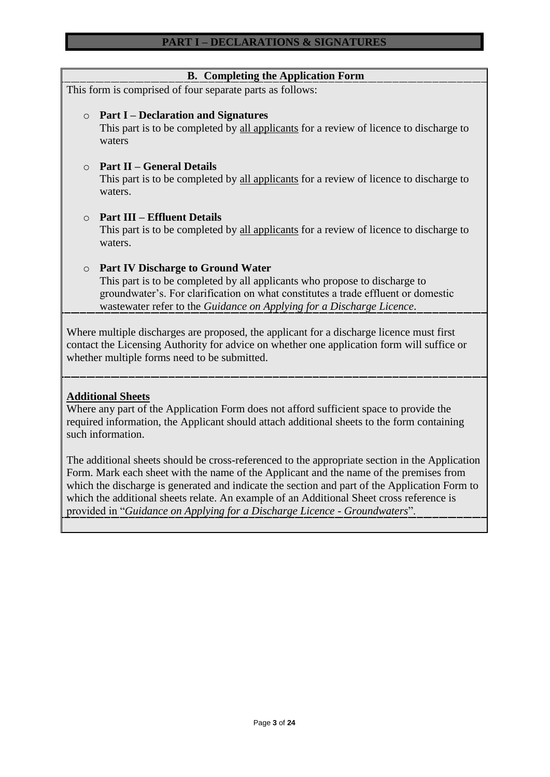| <b>B.</b> Completing the Application Form                                                                                                                                                                                                                                                       |
|-------------------------------------------------------------------------------------------------------------------------------------------------------------------------------------------------------------------------------------------------------------------------------------------------|
| This form is comprised of four separate parts as follows:                                                                                                                                                                                                                                       |
| <b>Part I – Declaration and Signatures</b><br>$\circ$<br>This part is to be completed by all applicants for a review of licence to discharge to<br>waters                                                                                                                                       |
| <b>Part II – General Details</b><br>$\Omega$<br>This part is to be completed by all applicants for a review of licence to discharge to<br>waters.                                                                                                                                               |
| <b>Part III – Effluent Details</b><br>$\bigcap$<br>This part is to be completed by all applicants for a review of licence to discharge to<br>waters.                                                                                                                                            |
| <b>Part IV Discharge to Ground Water</b><br>$\circ$<br>This part is to be completed by all applicants who propose to discharge to<br>groundwater's. For clarification on what constitutes a trade effluent or domestic<br>wastewater refer to the Guidance on Applying for a Discharge Licence. |
| Where multiple discharges are proposed, the applicant for a discharge licence must first<br>contact the Licensing Authority for advice on whether one application form will suffice or<br>whether multiple forms need to be submitted.                                                          |

# **Additional Sheets**

Where any part of the Application Form does not afford sufficient space to provide the required information, the Applicant should attach additional sheets to the form containing such information.

The additional sheets should be cross-referenced to the appropriate section in the Application Form. Mark each sheet with the name of the Applicant and the name of the premises from which the discharge is generated and indicate the section and part of the Application Form to which the additional sheets relate. An example of an Additional Sheet cross reference is provided in "*Guidance on Applying for a Discharge Licence - Groundwaters*".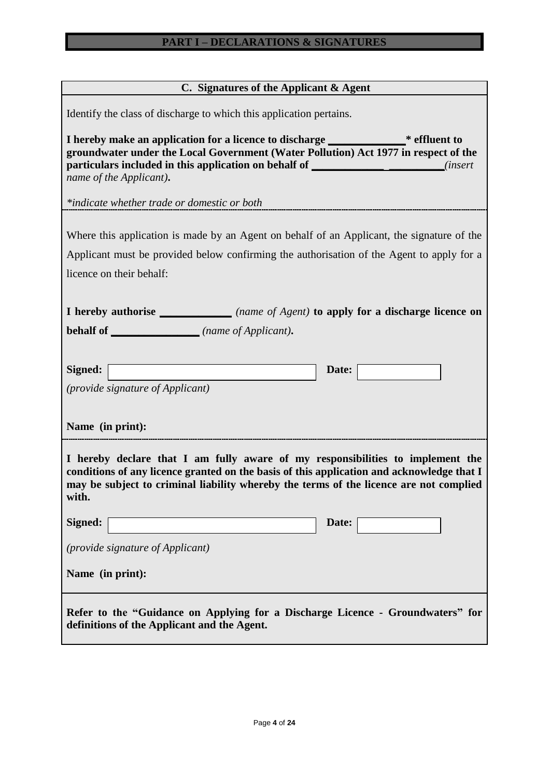# **C. Signatures of the Applicant & Agent**

| Identify the class of discharge to which this application pertains.                                                                                                                                                                                                                               |
|---------------------------------------------------------------------------------------------------------------------------------------------------------------------------------------------------------------------------------------------------------------------------------------------------|
| I hereby make an application for a licence to discharge ________________* effluent to<br>groundwater under the Local Government (Water Pollution) Act 1977 in respect of the<br>particulars included in this application on behalf of _________________________(insert<br>name of the Applicant). |
| *indicate whether trade or domestic or both <b>the contract of the contract of the contract of the contract of the contract of the contract of the contract of the contract of the contract of the contract of the contract of t</b>                                                              |
| Where this application is made by an Agent on behalf of an Applicant, the signature of the<br>Applicant must be provided below confirming the authorisation of the Agent to apply for a<br>licence on their behalf:                                                                               |
| <b>I</b> hereby authorise _________________(name of Agent) to apply for a discharge licence on                                                                                                                                                                                                    |
| <b>behalf of ______________</b> (name of Applicant).                                                                                                                                                                                                                                              |
| Signed:<br>Date:<br><i>(provide signature of Applicant)</i><br>Name (in print):                                                                                                                                                                                                                   |
| I hereby declare that I am fully aware of my responsibilities to implement the<br>conditions of any licence granted on the basis of this application and acknowledge that I<br>may be subject to criminal liability whereby the terms of the licence are not complied<br>with.                    |
| Date:<br>Signed:                                                                                                                                                                                                                                                                                  |
| <i>(provide signature of Applicant)</i>                                                                                                                                                                                                                                                           |
| Name (in print):                                                                                                                                                                                                                                                                                  |
| Refer to the "Guidance on Applying for a Discharge Licence - Groundwaters" for<br>definitions of the Applicant and the Agent.                                                                                                                                                                     |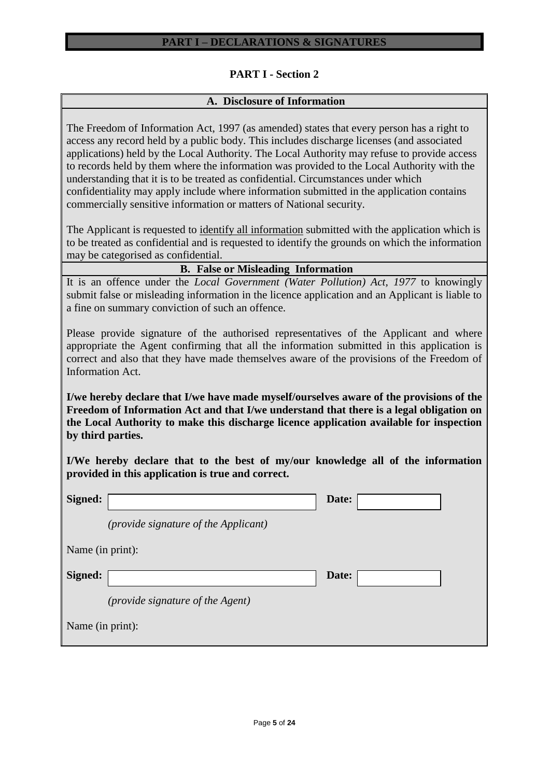# **PART I - Section 2**

# **A. Disclosure of Information**

The Freedom of Information Act, 1997 (as amended) states that every person has a right to access any record held by a public body. This includes discharge licenses (and associated applications) held by the Local Authority. The Local Authority may refuse to provide access to records held by them where the information was provided to the Local Authority with the understanding that it is to be treated as confidential. Circumstances under which confidentiality may apply include where information submitted in the application contains commercially sensitive information or matters of National security.

The Applicant is requested to identify all information submitted with the application which is to be treated as confidential and is requested to identify the grounds on which the information may be categorised as confidential.

|  |  |  | <b>B.</b> False or Misleading Information |
|--|--|--|-------------------------------------------|
|--|--|--|-------------------------------------------|

It is an offence under the *Local Government (Water Pollution) Act, 1977* to knowingly submit false or misleading information in the licence application and an Applicant is liable to a fine on summary conviction of such an offence.

Please provide signature of the authorised representatives of the Applicant and where appropriate the Agent confirming that all the information submitted in this application is correct and also that they have made themselves aware of the provisions of the Freedom of Information Act.

**I/we hereby declare that I/we have made myself/ourselves aware of the provisions of the Freedom of Information Act and that I/we understand that there is a legal obligation on the Local Authority to make this discharge licence application available for inspection by third parties.**

**I/We hereby declare that to the best of my/our knowledge all of the information provided in this application is true and correct.**

| Signed:          |                                             | Date: |  |
|------------------|---------------------------------------------|-------|--|
|                  | <i>(provide signature of the Applicant)</i> |       |  |
| Name (in print): |                                             |       |  |
| Signed:          |                                             | Date: |  |
|                  | <i>(provide signature of the Agent)</i>     |       |  |
| Name (in print): |                                             |       |  |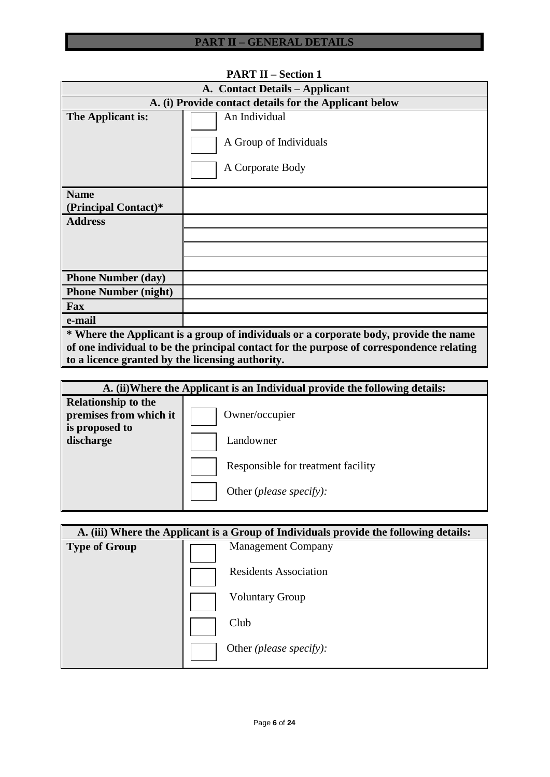| A. Contact Details – Applicant                                                           |                                                                                       |  |  |  |  |  |
|------------------------------------------------------------------------------------------|---------------------------------------------------------------------------------------|--|--|--|--|--|
| A. (i) Provide contact details for the Applicant below                                   |                                                                                       |  |  |  |  |  |
| The Applicant is:                                                                        | An Individual<br>A Group of Individuals<br>A Corporate Body                           |  |  |  |  |  |
| <b>Name</b><br>(Principal Contact)*                                                      |                                                                                       |  |  |  |  |  |
| <b>Address</b>                                                                           |                                                                                       |  |  |  |  |  |
|                                                                                          |                                                                                       |  |  |  |  |  |
|                                                                                          |                                                                                       |  |  |  |  |  |
|                                                                                          |                                                                                       |  |  |  |  |  |
| <b>Phone Number (day)</b>                                                                |                                                                                       |  |  |  |  |  |
| <b>Phone Number (night)</b>                                                              |                                                                                       |  |  |  |  |  |
| Fax                                                                                      |                                                                                       |  |  |  |  |  |
| e-mail                                                                                   |                                                                                       |  |  |  |  |  |
|                                                                                          | * Where the Applicant is a group of individuals or a corporate body, provide the name |  |  |  |  |  |
| of one individual to be the principal contact for the purpose of correspondence relating |                                                                                       |  |  |  |  |  |
| to a licence granted by the licensing authority.                                         |                                                                                       |  |  |  |  |  |

# **PART II – Section 1**

| A. (ii) Where the Applicant is an Individual provide the following details:         |                                                                        |  |  |  |  |
|-------------------------------------------------------------------------------------|------------------------------------------------------------------------|--|--|--|--|
| <b>Relationship to the</b><br>premises from which it<br>is proposed to<br>discharge | Owner/occupier<br>Landowner                                            |  |  |  |  |
|                                                                                     | Responsible for treatment facility<br>Other ( <i>please specify</i> ): |  |  |  |  |

|               | A. (iii) Where the Applicant is a Group of Individuals provide the following details: |
|---------------|---------------------------------------------------------------------------------------|
| Type of Group | <b>Management Company</b>                                                             |
|               | <b>Residents Association</b>                                                          |
|               | <b>Voluntary Group</b>                                                                |
|               | Club                                                                                  |
|               | Other (please specify):                                                               |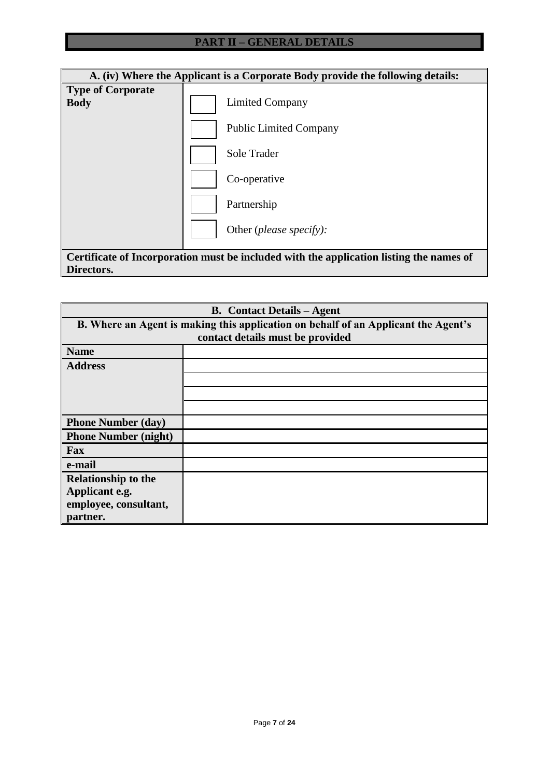|                                         | A. (iv) Where the Applicant is a Corporate Body provide the following details:          |  |  |  |  |  |  |
|-----------------------------------------|-----------------------------------------------------------------------------------------|--|--|--|--|--|--|
| <b>Type of Corporate</b><br><b>Body</b> | Limited Company                                                                         |  |  |  |  |  |  |
|                                         | <b>Public Limited Company</b>                                                           |  |  |  |  |  |  |
|                                         | Sole Trader                                                                             |  |  |  |  |  |  |
|                                         | Co-operative                                                                            |  |  |  |  |  |  |
|                                         | Partnership                                                                             |  |  |  |  |  |  |
|                                         | Other ( <i>please specify</i> ):                                                        |  |  |  |  |  |  |
|                                         | Certificate of Incorporation must be included with the application listing the names of |  |  |  |  |  |  |
| Directors.                              |                                                                                         |  |  |  |  |  |  |

| <b>B.</b> Contact Details – Agent                                                  |  |  |  |  |  |  |
|------------------------------------------------------------------------------------|--|--|--|--|--|--|
| B. Where an Agent is making this application on behalf of an Applicant the Agent's |  |  |  |  |  |  |
| contact details must be provided                                                   |  |  |  |  |  |  |
| <b>Name</b>                                                                        |  |  |  |  |  |  |
| <b>Address</b>                                                                     |  |  |  |  |  |  |
|                                                                                    |  |  |  |  |  |  |
|                                                                                    |  |  |  |  |  |  |
|                                                                                    |  |  |  |  |  |  |
| <b>Phone Number (day)</b>                                                          |  |  |  |  |  |  |
| <b>Phone Number (night)</b>                                                        |  |  |  |  |  |  |
| Fax                                                                                |  |  |  |  |  |  |
| e-mail                                                                             |  |  |  |  |  |  |
| <b>Relationship to the</b>                                                         |  |  |  |  |  |  |
| Applicant e.g.                                                                     |  |  |  |  |  |  |
| employee, consultant,                                                              |  |  |  |  |  |  |
| partner.                                                                           |  |  |  |  |  |  |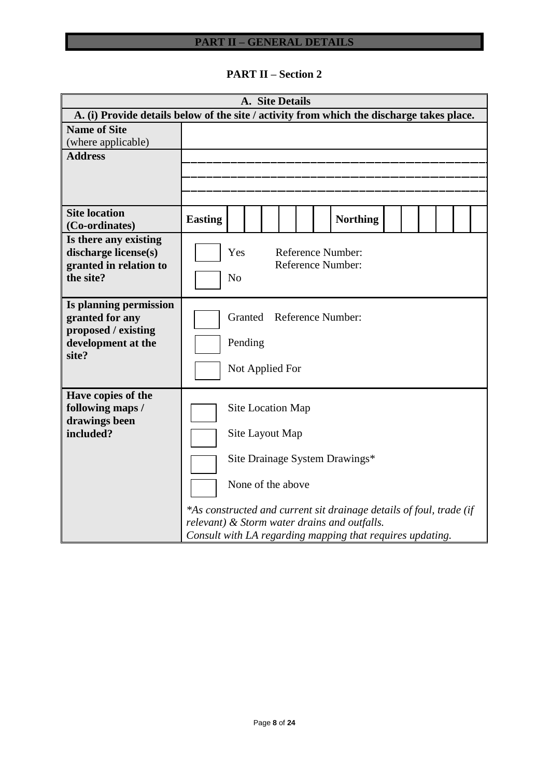**PART II – Section 2**

| A. Site Details                                                                                 |                                                                                                                                                                                                                                                                                 |                                                                   |  |  |  |  |  |                 |  |  |  |
|-------------------------------------------------------------------------------------------------|---------------------------------------------------------------------------------------------------------------------------------------------------------------------------------------------------------------------------------------------------------------------------------|-------------------------------------------------------------------|--|--|--|--|--|-----------------|--|--|--|
| A. (i) Provide details below of the site / activity from which the discharge takes place.       |                                                                                                                                                                                                                                                                                 |                                                                   |  |  |  |  |  |                 |  |  |  |
| <b>Name of Site</b><br>(where applicable)                                                       |                                                                                                                                                                                                                                                                                 |                                                                   |  |  |  |  |  |                 |  |  |  |
| <b>Address</b>                                                                                  |                                                                                                                                                                                                                                                                                 |                                                                   |  |  |  |  |  |                 |  |  |  |
| <b>Site location</b><br>(Co-ordinates)                                                          | <b>Easting</b>                                                                                                                                                                                                                                                                  |                                                                   |  |  |  |  |  | <b>Northing</b> |  |  |  |
| Is there any existing<br>discharge license(s)<br>granted in relation to<br>the site?            | Reference Number:<br>Yes<br><b>Reference Number:</b><br>N <sub>o</sub>                                                                                                                                                                                                          |                                                                   |  |  |  |  |  |                 |  |  |  |
| Is planning permission<br>granted for any<br>proposed / existing<br>development at the<br>site? |                                                                                                                                                                                                                                                                                 | <b>Reference Number:</b><br>Granted<br>Pending<br>Not Applied For |  |  |  |  |  |                 |  |  |  |
| Have copies of the<br>following maps /<br>drawings been<br>included?                            | Site Location Map<br>Site Layout Map<br>Site Drainage System Drawings*<br>None of the above<br>*As constructed and current sit drainage details of foul, trade (if<br>relevant) & Storm water drains and outfalls.<br>Consult with LA regarding mapping that requires updating. |                                                                   |  |  |  |  |  |                 |  |  |  |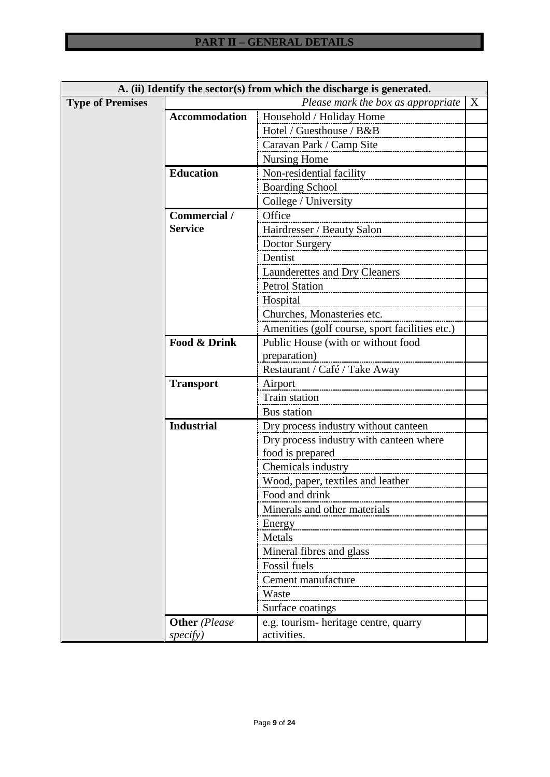| A. (ii) Identify the sector(s) from which the discharge is generated. |                      |                                                |  |  |  |  |
|-----------------------------------------------------------------------|----------------------|------------------------------------------------|--|--|--|--|
| Please mark the box as appropriate<br><b>Type of Premises</b><br>X    |                      |                                                |  |  |  |  |
|                                                                       | <b>Accommodation</b> | Household / Holiday Home                       |  |  |  |  |
|                                                                       |                      | Hotel / Guesthouse / B&B                       |  |  |  |  |
|                                                                       |                      | Caravan Park / Camp Site                       |  |  |  |  |
|                                                                       |                      | <b>Nursing Home</b>                            |  |  |  |  |
|                                                                       | <b>Education</b>     | Non-residential facility                       |  |  |  |  |
|                                                                       |                      | <b>Boarding School</b>                         |  |  |  |  |
|                                                                       |                      | College / University                           |  |  |  |  |
|                                                                       | Commercial /         | Office                                         |  |  |  |  |
|                                                                       | <b>Service</b>       | Hairdresser / Beauty Salon                     |  |  |  |  |
|                                                                       |                      | Doctor Surgery                                 |  |  |  |  |
|                                                                       |                      | Dentist                                        |  |  |  |  |
|                                                                       |                      | <b>Launderettes and Dry Cleaners</b>           |  |  |  |  |
|                                                                       |                      | <b>Petrol Station</b>                          |  |  |  |  |
|                                                                       |                      | Hospital                                       |  |  |  |  |
|                                                                       |                      | Churches, Monasteries etc.                     |  |  |  |  |
|                                                                       |                      | Amenities (golf course, sport facilities etc.) |  |  |  |  |
|                                                                       | Food & Drink         | Public House (with or without food             |  |  |  |  |
|                                                                       |                      | preparation)                                   |  |  |  |  |
|                                                                       |                      | Restaurant / Café / Take Away                  |  |  |  |  |
|                                                                       | <b>Transport</b>     | Airport                                        |  |  |  |  |
|                                                                       |                      | Train station                                  |  |  |  |  |
|                                                                       |                      | Bus station                                    |  |  |  |  |
|                                                                       | <b>Industrial</b>    | Dry process industry without canteen           |  |  |  |  |
|                                                                       |                      | Dry process industry with canteen where        |  |  |  |  |
|                                                                       |                      | food is prepared                               |  |  |  |  |
|                                                                       |                      | Chemicals industry                             |  |  |  |  |
|                                                                       |                      | Wood, paper, textiles and leather              |  |  |  |  |
|                                                                       |                      | Food and drink                                 |  |  |  |  |
|                                                                       |                      | Minerals and other materials                   |  |  |  |  |
|                                                                       |                      | Energy                                         |  |  |  |  |
|                                                                       |                      | Metals                                         |  |  |  |  |
|                                                                       |                      | Mineral fibres and glass                       |  |  |  |  |
|                                                                       |                      | Fossil fuels                                   |  |  |  |  |
|                                                                       |                      | Cement manufacture                             |  |  |  |  |
|                                                                       |                      | Waste                                          |  |  |  |  |
|                                                                       |                      | Surface coatings                               |  |  |  |  |
|                                                                       | <b>Other</b> (Please | e.g. tourism- heritage centre, quarry          |  |  |  |  |
|                                                                       | specify)             | activities.                                    |  |  |  |  |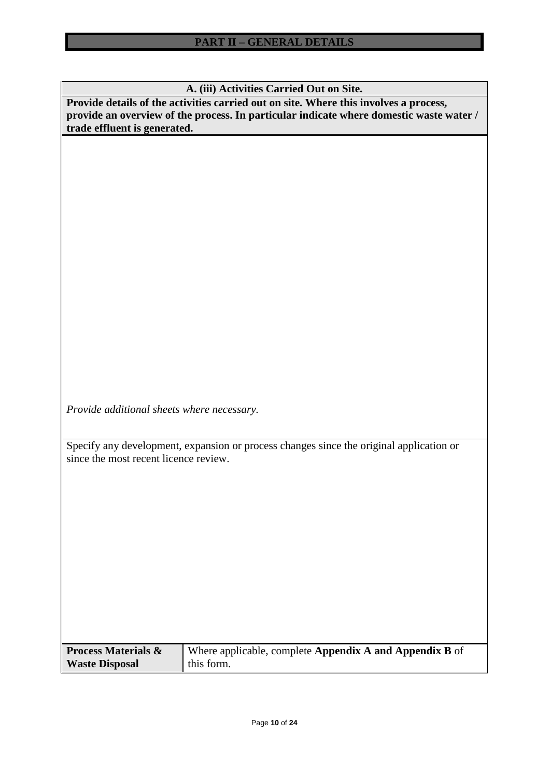**A. (iii) Activities Carried Out on Site.**

**Provide details of the activities carried out on site. Where this involves a process, provide an overview of the process. In particular indicate where domestic waste water / trade effluent is generated.**

*Provide additional sheets where necessary.*

Specify any development, expansion or process changes since the original application or since the most recent licence review.

| <b>Process Materials &amp;</b> | Where applicable, complete <b>Appendix A and Appendix B</b> of |
|--------------------------------|----------------------------------------------------------------|
| <b>Waste Disposal</b>          | this form.                                                     |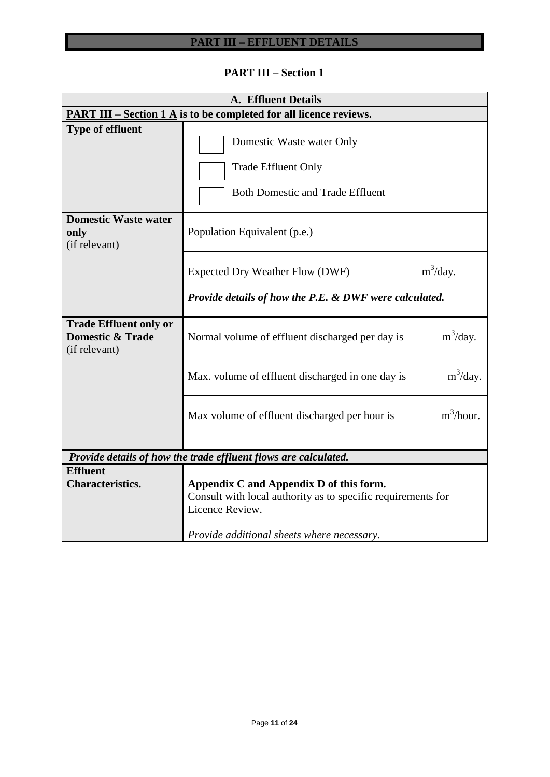# **PART III – EFFLUENT DETAILS**

# **PART III – Section 1**

| <b>A. Effluent Details</b>                                                    |                                                                                                                                                                          |  |  |  |  |  |
|-------------------------------------------------------------------------------|--------------------------------------------------------------------------------------------------------------------------------------------------------------------------|--|--|--|--|--|
| <b>PART III – Section 1 A</b> is to be completed for all licence reviews.     |                                                                                                                                                                          |  |  |  |  |  |
| <b>Type of effluent</b>                                                       | Domestic Waste water Only<br><b>Trade Effluent Only</b><br><b>Both Domestic and Trade Effluent</b>                                                                       |  |  |  |  |  |
| <b>Domestic Waste water</b><br>only<br>(if relevant)                          | Population Equivalent (p.e.)                                                                                                                                             |  |  |  |  |  |
|                                                                               | $m^3$ /day.<br>Expected Dry Weather Flow (DWF)<br>Provide details of how the P.E. & DWF were calculated.                                                                 |  |  |  |  |  |
| <b>Trade Effluent only or</b><br><b>Domestic &amp; Trade</b><br>(if relevant) | $m^3$ /day.<br>Normal volume of effluent discharged per day is                                                                                                           |  |  |  |  |  |
|                                                                               | $m^3$ /day.<br>Max. volume of effluent discharged in one day is                                                                                                          |  |  |  |  |  |
|                                                                               | $m^3/h$ our.<br>Max volume of effluent discharged per hour is                                                                                                            |  |  |  |  |  |
|                                                                               | Provide details of how the trade effluent flows are calculated.                                                                                                          |  |  |  |  |  |
| <b>Effluent</b><br><b>Characteristics.</b>                                    | Appendix C and Appendix D of this form.<br>Consult with local authority as to specific requirements for<br>Licence Review.<br>Provide additional sheets where necessary. |  |  |  |  |  |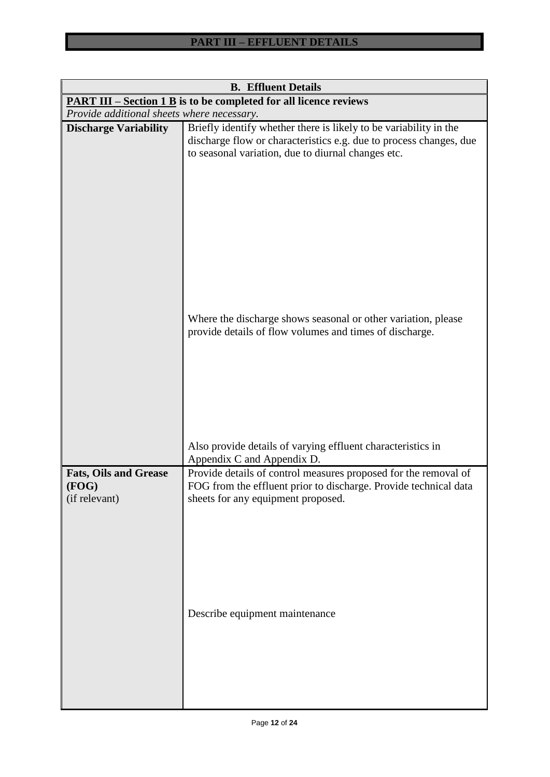| <b>B.</b> Effluent Details                                               |                                                                                                                                                                                               |  |  |  |  |  |  |
|--------------------------------------------------------------------------|-----------------------------------------------------------------------------------------------------------------------------------------------------------------------------------------------|--|--|--|--|--|--|
| <b>PART III – Section 1 B</b> is to be completed for all licence reviews |                                                                                                                                                                                               |  |  |  |  |  |  |
| Provide additional sheets where necessary.                               |                                                                                                                                                                                               |  |  |  |  |  |  |
| <b>Discharge Variability</b>                                             | Briefly identify whether there is likely to be variability in the<br>discharge flow or characteristics e.g. due to process changes, due<br>to seasonal variation, due to diurnal changes etc. |  |  |  |  |  |  |
|                                                                          | Where the discharge shows seasonal or other variation, please<br>provide details of flow volumes and times of discharge.                                                                      |  |  |  |  |  |  |
|                                                                          | Also provide details of varying effluent characteristics in<br>Appendix C and Appendix D.                                                                                                     |  |  |  |  |  |  |
| <b>Fats, Oils and Grease</b><br>(FOG)<br>(if relevant)                   | Provide details of control measures proposed for the removal of<br>FOG from the effluent prior to discharge. Provide technical data<br>sheets for any equipment proposed.                     |  |  |  |  |  |  |
|                                                                          | Describe equipment maintenance                                                                                                                                                                |  |  |  |  |  |  |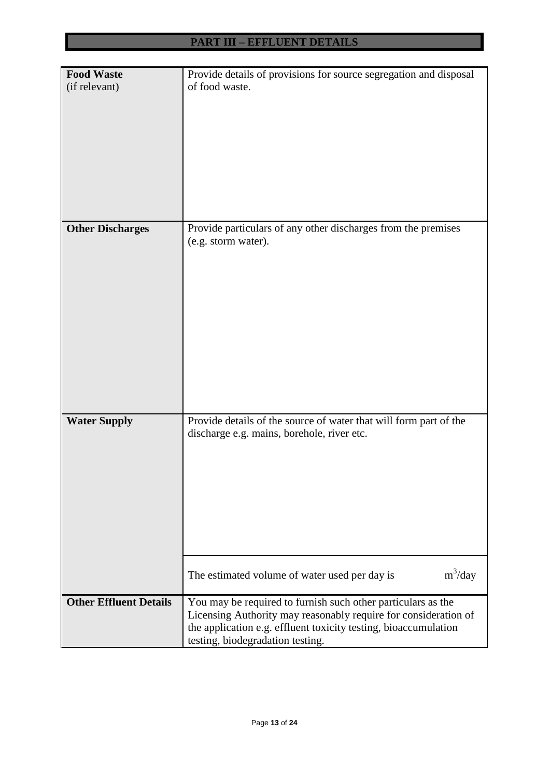| <b>Food Waste</b>             | Provide details of provisions for source segregation and disposal |  |  |  |  |  |
|-------------------------------|-------------------------------------------------------------------|--|--|--|--|--|
| (if relevant)                 | of food waste.                                                    |  |  |  |  |  |
|                               |                                                                   |  |  |  |  |  |
|                               |                                                                   |  |  |  |  |  |
|                               |                                                                   |  |  |  |  |  |
|                               |                                                                   |  |  |  |  |  |
|                               |                                                                   |  |  |  |  |  |
|                               |                                                                   |  |  |  |  |  |
|                               |                                                                   |  |  |  |  |  |
|                               |                                                                   |  |  |  |  |  |
|                               |                                                                   |  |  |  |  |  |
|                               |                                                                   |  |  |  |  |  |
|                               |                                                                   |  |  |  |  |  |
| <b>Other Discharges</b>       | Provide particulars of any other discharges from the premises     |  |  |  |  |  |
|                               | (e.g. storm water).                                               |  |  |  |  |  |
|                               |                                                                   |  |  |  |  |  |
|                               |                                                                   |  |  |  |  |  |
|                               |                                                                   |  |  |  |  |  |
|                               |                                                                   |  |  |  |  |  |
|                               |                                                                   |  |  |  |  |  |
|                               |                                                                   |  |  |  |  |  |
|                               |                                                                   |  |  |  |  |  |
|                               |                                                                   |  |  |  |  |  |
|                               |                                                                   |  |  |  |  |  |
|                               |                                                                   |  |  |  |  |  |
|                               |                                                                   |  |  |  |  |  |
|                               |                                                                   |  |  |  |  |  |
|                               |                                                                   |  |  |  |  |  |
| <b>Water Supply</b>           | Provide details of the source of water that will form part of the |  |  |  |  |  |
|                               | discharge e.g. mains, borehole, river etc.                        |  |  |  |  |  |
|                               |                                                                   |  |  |  |  |  |
|                               |                                                                   |  |  |  |  |  |
|                               |                                                                   |  |  |  |  |  |
|                               |                                                                   |  |  |  |  |  |
|                               |                                                                   |  |  |  |  |  |
|                               |                                                                   |  |  |  |  |  |
|                               |                                                                   |  |  |  |  |  |
|                               |                                                                   |  |  |  |  |  |
|                               |                                                                   |  |  |  |  |  |
|                               |                                                                   |  |  |  |  |  |
|                               | $m^3$ /day<br>The estimated volume of water used per day is       |  |  |  |  |  |
|                               |                                                                   |  |  |  |  |  |
| <b>Other Effluent Details</b> | You may be required to furnish such other particulars as the      |  |  |  |  |  |
|                               |                                                                   |  |  |  |  |  |
|                               | Licensing Authority may reasonably require for consideration of   |  |  |  |  |  |
|                               | the application e.g. effluent toxicity testing, bioaccumulation   |  |  |  |  |  |
|                               | testing, biodegradation testing.                                  |  |  |  |  |  |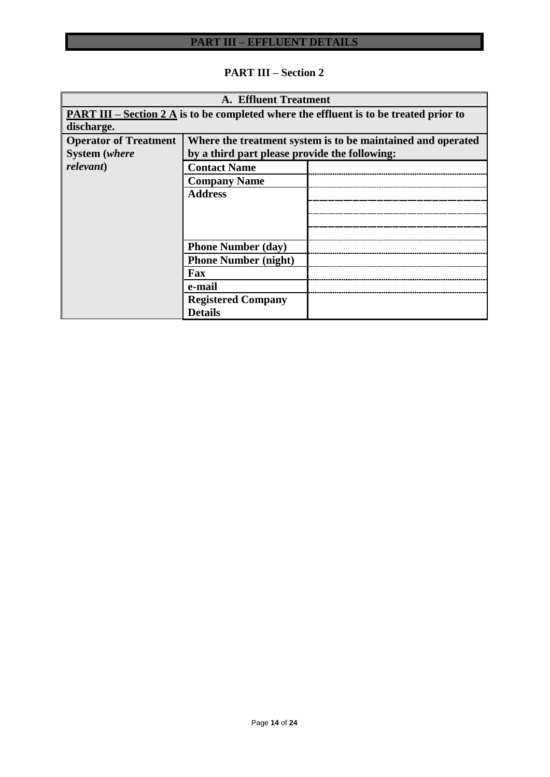# **PART III – Section 2**

| <b>A. Effluent Treatment</b>                                                                  |                                                             |  |  |  |  |  |
|-----------------------------------------------------------------------------------------------|-------------------------------------------------------------|--|--|--|--|--|
| <b>PART III</b> – Section 2 A is to be completed where the effluent is to be treated prior to |                                                             |  |  |  |  |  |
| discharge.                                                                                    |                                                             |  |  |  |  |  |
| <b>Operator of Treatment</b>                                                                  | Where the treatment system is to be maintained and operated |  |  |  |  |  |
| <b>System</b> (where                                                                          | by a third part please provide the following:               |  |  |  |  |  |
| relevant)                                                                                     | <b>Contact Name</b>                                         |  |  |  |  |  |
|                                                                                               | <b>Company Name</b>                                         |  |  |  |  |  |
|                                                                                               | <b>Address</b>                                              |  |  |  |  |  |
|                                                                                               |                                                             |  |  |  |  |  |
|                                                                                               |                                                             |  |  |  |  |  |
|                                                                                               |                                                             |  |  |  |  |  |
|                                                                                               | <b>Phone Number (day)</b>                                   |  |  |  |  |  |
|                                                                                               | <b>Phone Number (night)</b>                                 |  |  |  |  |  |
|                                                                                               | Fax                                                         |  |  |  |  |  |
|                                                                                               | e-mail                                                      |  |  |  |  |  |
|                                                                                               | <b>Registered Company</b>                                   |  |  |  |  |  |
|                                                                                               | <b>Details</b>                                              |  |  |  |  |  |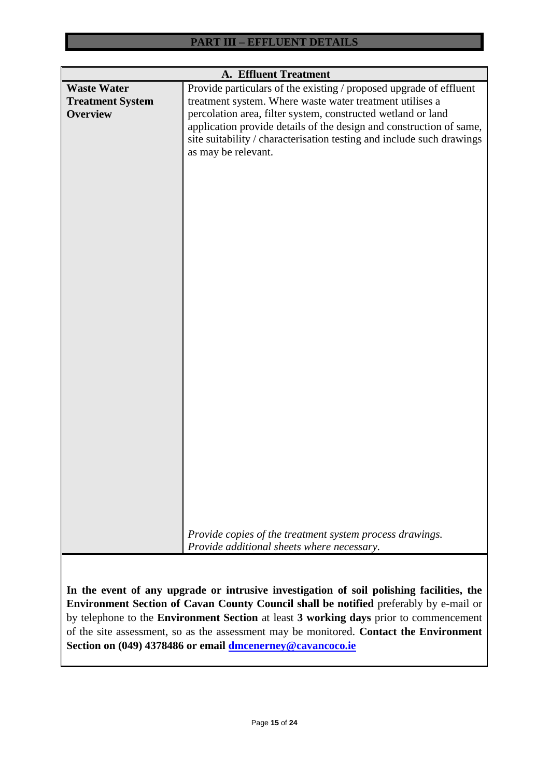| <b>A. Effluent Treatment</b>                                                          |                                                                                          |  |  |  |  |
|---------------------------------------------------------------------------------------|------------------------------------------------------------------------------------------|--|--|--|--|
| <b>Waste Water</b>                                                                    | Provide particulars of the existing / proposed upgrade of effluent                       |  |  |  |  |
| <b>Treatment System</b>                                                               | treatment system. Where waste water treatment utilises a                                 |  |  |  |  |
| <b>Overview</b>                                                                       | percolation area, filter system, constructed wetland or land                             |  |  |  |  |
|                                                                                       | application provide details of the design and construction of same,                      |  |  |  |  |
|                                                                                       | site suitability / characterisation testing and include such drawings                    |  |  |  |  |
|                                                                                       | as may be relevant.                                                                      |  |  |  |  |
|                                                                                       |                                                                                          |  |  |  |  |
|                                                                                       |                                                                                          |  |  |  |  |
|                                                                                       |                                                                                          |  |  |  |  |
|                                                                                       |                                                                                          |  |  |  |  |
|                                                                                       |                                                                                          |  |  |  |  |
|                                                                                       |                                                                                          |  |  |  |  |
|                                                                                       |                                                                                          |  |  |  |  |
|                                                                                       |                                                                                          |  |  |  |  |
|                                                                                       |                                                                                          |  |  |  |  |
|                                                                                       |                                                                                          |  |  |  |  |
|                                                                                       |                                                                                          |  |  |  |  |
|                                                                                       |                                                                                          |  |  |  |  |
|                                                                                       |                                                                                          |  |  |  |  |
|                                                                                       |                                                                                          |  |  |  |  |
|                                                                                       |                                                                                          |  |  |  |  |
|                                                                                       |                                                                                          |  |  |  |  |
|                                                                                       |                                                                                          |  |  |  |  |
|                                                                                       |                                                                                          |  |  |  |  |
|                                                                                       |                                                                                          |  |  |  |  |
|                                                                                       |                                                                                          |  |  |  |  |
|                                                                                       |                                                                                          |  |  |  |  |
|                                                                                       |                                                                                          |  |  |  |  |
|                                                                                       |                                                                                          |  |  |  |  |
|                                                                                       |                                                                                          |  |  |  |  |
|                                                                                       |                                                                                          |  |  |  |  |
|                                                                                       |                                                                                          |  |  |  |  |
|                                                                                       |                                                                                          |  |  |  |  |
|                                                                                       |                                                                                          |  |  |  |  |
|                                                                                       |                                                                                          |  |  |  |  |
|                                                                                       |                                                                                          |  |  |  |  |
|                                                                                       | Provide copies of the treatment system process drawings.                                 |  |  |  |  |
|                                                                                       | Provide additional sheets where necessary.                                               |  |  |  |  |
|                                                                                       |                                                                                          |  |  |  |  |
|                                                                                       |                                                                                          |  |  |  |  |
|                                                                                       | In the event of any upgrade or intrusive investigation of soil polishing facilities, the |  |  |  |  |
| Environment Section of Cavan County Council shall be notified preferably by e-mail or |                                                                                          |  |  |  |  |
|                                                                                       | by telephone to the Environment Section at least 3 working days prior to commencement    |  |  |  |  |

of the site assessment, so as the assessment may be monitored. **Contact the Environment** 

**Section on (049) 4378486 or email [dmcenerney@cavancoco.ie](mailto:dmcenerney@cavancoco.ie)**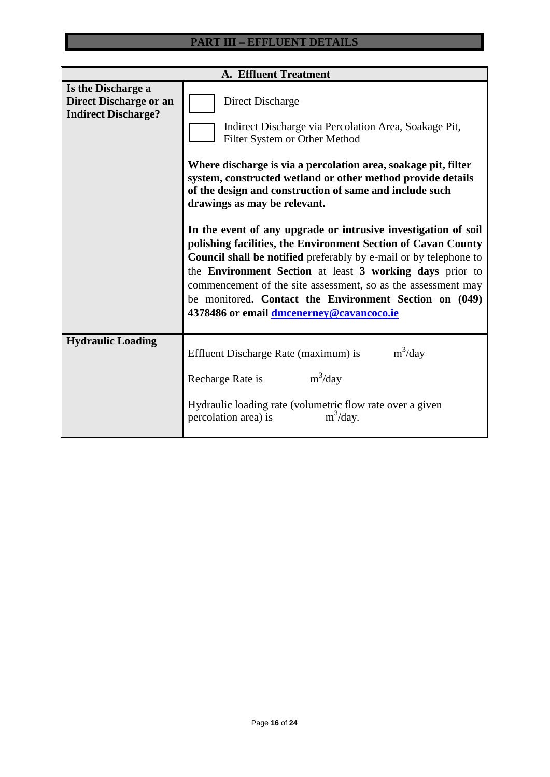| <b>A. Effluent Treatment</b>                                                      |                                                                                                                                                                                                                                                                                                                                                                                                                                                                                                                                                                                                                                                                                                                                                                                          |  |  |  |  |  |  |
|-----------------------------------------------------------------------------------|------------------------------------------------------------------------------------------------------------------------------------------------------------------------------------------------------------------------------------------------------------------------------------------------------------------------------------------------------------------------------------------------------------------------------------------------------------------------------------------------------------------------------------------------------------------------------------------------------------------------------------------------------------------------------------------------------------------------------------------------------------------------------------------|--|--|--|--|--|--|
| Is the Discharge a<br><b>Direct Discharge or an</b><br><b>Indirect Discharge?</b> | Direct Discharge<br>Indirect Discharge via Percolation Area, Soakage Pit,<br>Filter System or Other Method<br>Where discharge is via a percolation area, soakage pit, filter<br>system, constructed wetland or other method provide details<br>of the design and construction of same and include such<br>drawings as may be relevant.<br>In the event of any upgrade or intrusive investigation of soil<br>polishing facilities, the Environment Section of Cavan County<br><b>Council shall be notified</b> preferably by e-mail or by telephone to<br>the Environment Section at least 3 working days prior to<br>commencement of the site assessment, so as the assessment may<br>be monitored. Contact the Environment Section on (049)<br>4378486 or email dmcenerney@cavancoco.ie |  |  |  |  |  |  |
| <b>Hydraulic Loading</b>                                                          | $m^3$ /day<br>Effluent Discharge Rate (maximum) is<br>$m^3$ /day<br>Recharge Rate is<br>Hydraulic loading rate (volumetric flow rate over a given<br>$m^3$ /day.<br>percolation area) is                                                                                                                                                                                                                                                                                                                                                                                                                                                                                                                                                                                                 |  |  |  |  |  |  |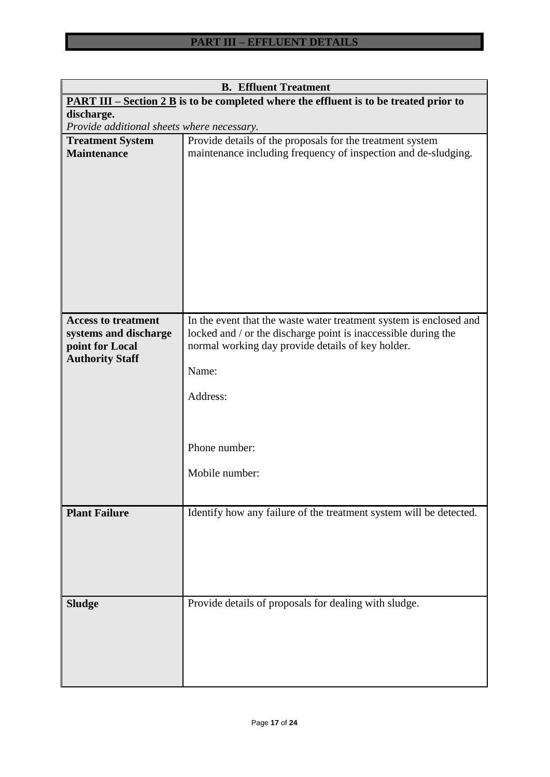| <b>B.</b> Effluent Treatment                                                                     |                                                                                                                                                                                                    |  |  |  |  |  |  |
|--------------------------------------------------------------------------------------------------|----------------------------------------------------------------------------------------------------------------------------------------------------------------------------------------------------|--|--|--|--|--|--|
| <u>PART III – Section 2 B</u> is to be completed where the effluent is to be treated prior to    |                                                                                                                                                                                                    |  |  |  |  |  |  |
| discharge.                                                                                       |                                                                                                                                                                                                    |  |  |  |  |  |  |
| Provide additional sheets where necessary.                                                       |                                                                                                                                                                                                    |  |  |  |  |  |  |
| <b>Treatment System</b>                                                                          | Provide details of the proposals for the treatment system                                                                                                                                          |  |  |  |  |  |  |
| <b>Maintenance</b>                                                                               | maintenance including frequency of inspection and de-sludging.                                                                                                                                     |  |  |  |  |  |  |
|                                                                                                  |                                                                                                                                                                                                    |  |  |  |  |  |  |
|                                                                                                  |                                                                                                                                                                                                    |  |  |  |  |  |  |
|                                                                                                  |                                                                                                                                                                                                    |  |  |  |  |  |  |
| <b>Access to treatment</b><br>systems and discharge<br>point for Local<br><b>Authority Staff</b> | In the event that the waste water treatment system is enclosed and<br>locked and / or the discharge point is inaccessible during the<br>normal working day provide details of key holder.<br>Name: |  |  |  |  |  |  |
|                                                                                                  |                                                                                                                                                                                                    |  |  |  |  |  |  |
|                                                                                                  | Address:                                                                                                                                                                                           |  |  |  |  |  |  |
|                                                                                                  |                                                                                                                                                                                                    |  |  |  |  |  |  |
|                                                                                                  | Phone number:                                                                                                                                                                                      |  |  |  |  |  |  |
|                                                                                                  |                                                                                                                                                                                                    |  |  |  |  |  |  |
|                                                                                                  | Mobile number:                                                                                                                                                                                     |  |  |  |  |  |  |
|                                                                                                  |                                                                                                                                                                                                    |  |  |  |  |  |  |
| <b>Plant Failure</b>                                                                             | Identify how any failure of the treatment system will be detected.                                                                                                                                 |  |  |  |  |  |  |
|                                                                                                  |                                                                                                                                                                                                    |  |  |  |  |  |  |
|                                                                                                  |                                                                                                                                                                                                    |  |  |  |  |  |  |
| <b>Sludge</b>                                                                                    | Provide details of proposals for dealing with sludge.                                                                                                                                              |  |  |  |  |  |  |
|                                                                                                  |                                                                                                                                                                                                    |  |  |  |  |  |  |
|                                                                                                  |                                                                                                                                                                                                    |  |  |  |  |  |  |
|                                                                                                  |                                                                                                                                                                                                    |  |  |  |  |  |  |
|                                                                                                  |                                                                                                                                                                                                    |  |  |  |  |  |  |
|                                                                                                  |                                                                                                                                                                                                    |  |  |  |  |  |  |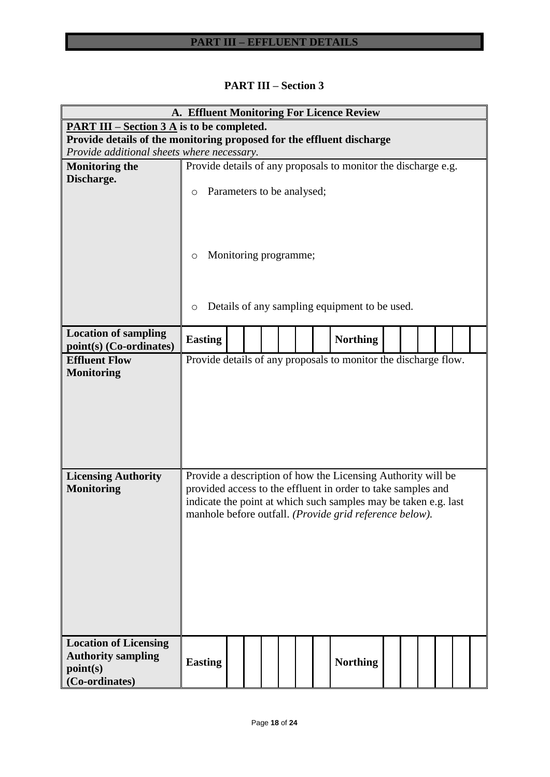|  | <b>PART III – Section 3</b> |
|--|-----------------------------|
|--|-----------------------------|

|                                                                       |                                                                                                                                 |                       |  |  |  |  | A. Effluent Monitoring For Licence Review                       |  |  |  |  |
|-----------------------------------------------------------------------|---------------------------------------------------------------------------------------------------------------------------------|-----------------------|--|--|--|--|-----------------------------------------------------------------|--|--|--|--|
| <u>PART III – Section 3 A</u> is to be completed.                     |                                                                                                                                 |                       |  |  |  |  |                                                                 |  |  |  |  |
| Provide details of the monitoring proposed for the effluent discharge |                                                                                                                                 |                       |  |  |  |  |                                                                 |  |  |  |  |
| Provide additional sheets where necessary.                            |                                                                                                                                 |                       |  |  |  |  |                                                                 |  |  |  |  |
| <b>Monitoring the</b>                                                 |                                                                                                                                 |                       |  |  |  |  | Provide details of any proposals to monitor the discharge e.g.  |  |  |  |  |
| Discharge.                                                            | Parameters to be analysed;<br>$\circ$                                                                                           |                       |  |  |  |  |                                                                 |  |  |  |  |
|                                                                       |                                                                                                                                 |                       |  |  |  |  |                                                                 |  |  |  |  |
|                                                                       | $\circ$                                                                                                                         | Monitoring programme; |  |  |  |  |                                                                 |  |  |  |  |
|                                                                       |                                                                                                                                 |                       |  |  |  |  |                                                                 |  |  |  |  |
|                                                                       | Details of any sampling equipment to be used.<br>O                                                                              |                       |  |  |  |  |                                                                 |  |  |  |  |
| <b>Location of sampling</b><br>point(s) (Co-ordinates)                | <b>Easting</b>                                                                                                                  | <b>Northing</b>       |  |  |  |  |                                                                 |  |  |  |  |
| <b>Effluent Flow</b>                                                  |                                                                                                                                 |                       |  |  |  |  | Provide details of any proposals to monitor the discharge flow. |  |  |  |  |
| <b>Monitoring</b>                                                     |                                                                                                                                 |                       |  |  |  |  |                                                                 |  |  |  |  |
|                                                                       |                                                                                                                                 |                       |  |  |  |  |                                                                 |  |  |  |  |
|                                                                       |                                                                                                                                 |                       |  |  |  |  |                                                                 |  |  |  |  |
|                                                                       |                                                                                                                                 |                       |  |  |  |  |                                                                 |  |  |  |  |
|                                                                       |                                                                                                                                 |                       |  |  |  |  |                                                                 |  |  |  |  |
|                                                                       |                                                                                                                                 |                       |  |  |  |  |                                                                 |  |  |  |  |
| <b>Licensing Authority</b>                                            |                                                                                                                                 |                       |  |  |  |  | Provide a description of how the Licensing Authority will be    |  |  |  |  |
| <b>Monitoring</b>                                                     |                                                                                                                                 |                       |  |  |  |  |                                                                 |  |  |  |  |
|                                                                       | provided access to the effluent in order to take samples and<br>indicate the point at which such samples may be taken e.g. last |                       |  |  |  |  |                                                                 |  |  |  |  |
|                                                                       | manhole before outfall. (Provide grid reference below).                                                                         |                       |  |  |  |  |                                                                 |  |  |  |  |
|                                                                       |                                                                                                                                 |                       |  |  |  |  |                                                                 |  |  |  |  |
|                                                                       |                                                                                                                                 |                       |  |  |  |  |                                                                 |  |  |  |  |
|                                                                       |                                                                                                                                 |                       |  |  |  |  |                                                                 |  |  |  |  |
|                                                                       |                                                                                                                                 |                       |  |  |  |  |                                                                 |  |  |  |  |
|                                                                       |                                                                                                                                 |                       |  |  |  |  |                                                                 |  |  |  |  |
|                                                                       |                                                                                                                                 |                       |  |  |  |  |                                                                 |  |  |  |  |
|                                                                       |                                                                                                                                 |                       |  |  |  |  |                                                                 |  |  |  |  |
| <b>Location of Licensing</b>                                          |                                                                                                                                 |                       |  |  |  |  |                                                                 |  |  |  |  |
| <b>Authority sampling</b><br>point(s)                                 | <b>Easting</b>                                                                                                                  |                       |  |  |  |  | <b>Northing</b>                                                 |  |  |  |  |
| (Co-ordinates)                                                        |                                                                                                                                 |                       |  |  |  |  |                                                                 |  |  |  |  |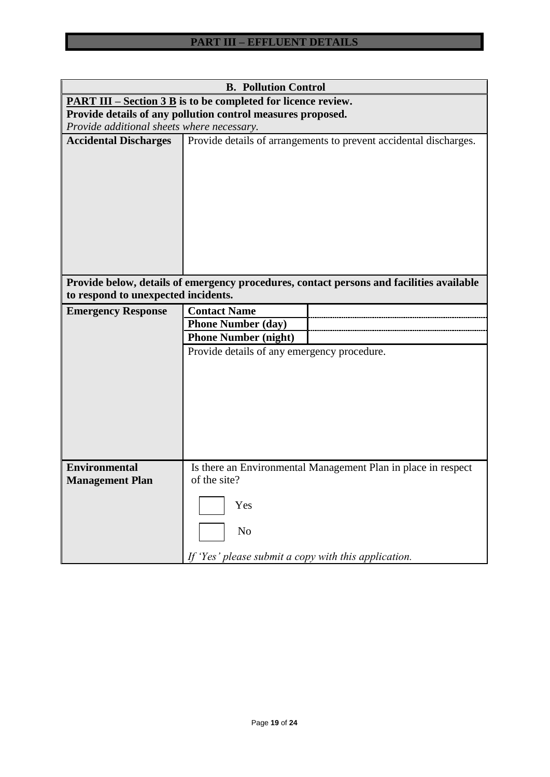| <b>B. Pollution Control</b>                                                    |                                                                   |                                                                                          |  |  |  |  |  |  |
|--------------------------------------------------------------------------------|-------------------------------------------------------------------|------------------------------------------------------------------------------------------|--|--|--|--|--|--|
| <b>PART III</b> – Section $3 \text{ B}$ is to be completed for licence review. |                                                                   |                                                                                          |  |  |  |  |  |  |
| Provide details of any pollution control measures proposed.                    |                                                                   |                                                                                          |  |  |  |  |  |  |
|                                                                                | Provide additional sheets where necessary.                        |                                                                                          |  |  |  |  |  |  |
| <b>Accidental Discharges</b>                                                   |                                                                   | Provide details of arrangements to prevent accidental discharges.                        |  |  |  |  |  |  |
|                                                                                |                                                                   | Provide below, details of emergency procedures, contact persons and facilities available |  |  |  |  |  |  |
| to respond to unexpected incidents.                                            |                                                                   |                                                                                          |  |  |  |  |  |  |
| <b>Emergency Response</b>                                                      | <b>Contact Name</b>                                               |                                                                                          |  |  |  |  |  |  |
|                                                                                | <b>Phone Number (day)</b>                                         |                                                                                          |  |  |  |  |  |  |
|                                                                                | <b>Phone Number (night)</b>                                       |                                                                                          |  |  |  |  |  |  |
|                                                                                | Provide details of any emergency procedure.                       |                                                                                          |  |  |  |  |  |  |
| <b>Environmental</b><br><b>Management Plan</b>                                 | of the site?                                                      | Is there an Environmental Management Plan in place in respect                            |  |  |  |  |  |  |
|                                                                                | Yes<br>No<br>If 'Yes' please submit a copy with this application. |                                                                                          |  |  |  |  |  |  |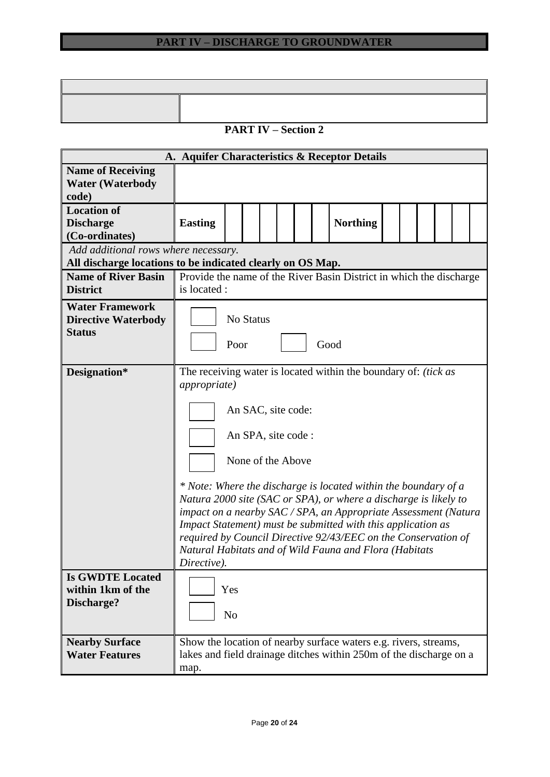# **PART IV – Section 2**

| A. Aquifer Characteristics & Receptor Details                                                      |                                                                                                                                                                                                                                                                                                                                                                                                                                                                                                                                                                          |                           |  |  |  |  |  |                                                                                                                                        |  |  |  |
|----------------------------------------------------------------------------------------------------|--------------------------------------------------------------------------------------------------------------------------------------------------------------------------------------------------------------------------------------------------------------------------------------------------------------------------------------------------------------------------------------------------------------------------------------------------------------------------------------------------------------------------------------------------------------------------|---------------------------|--|--|--|--|--|----------------------------------------------------------------------------------------------------------------------------------------|--|--|--|
| <b>Name of Receiving</b><br><b>Water (Waterbody</b><br>code)                                       |                                                                                                                                                                                                                                                                                                                                                                                                                                                                                                                                                                          |                           |  |  |  |  |  |                                                                                                                                        |  |  |  |
| <b>Location of</b><br><b>Discharge</b><br>(Co-ordinates)                                           | <b>Easting</b>                                                                                                                                                                                                                                                                                                                                                                                                                                                                                                                                                           |                           |  |  |  |  |  | <b>Northing</b>                                                                                                                        |  |  |  |
| Add additional rows where necessary.<br>All discharge locations to be indicated clearly on OS Map. |                                                                                                                                                                                                                                                                                                                                                                                                                                                                                                                                                                          |                           |  |  |  |  |  |                                                                                                                                        |  |  |  |
| <b>Name of River Basin</b><br><b>District</b>                                                      | is located :                                                                                                                                                                                                                                                                                                                                                                                                                                                                                                                                                             |                           |  |  |  |  |  | Provide the name of the River Basin District in which the discharge                                                                    |  |  |  |
| <b>Water Framework</b><br><b>Directive Waterbody</b><br><b>Status</b>                              |                                                                                                                                                                                                                                                                                                                                                                                                                                                                                                                                                                          | No Status<br>Good<br>Poor |  |  |  |  |  |                                                                                                                                        |  |  |  |
| Designation*                                                                                       | The receiving water is located within the boundary of: <i>(tick as</i> )<br><i>appropriate</i> )<br>An SAC, site code:<br>An SPA, site code :<br>None of the Above<br>* Note: Where the discharge is located within the boundary of a<br>Natura 2000 site (SAC or SPA), or where a discharge is likely to<br>impact on a nearby SAC / SPA, an Appropriate Assessment (Natura<br>Impact Statement) must be submitted with this application as<br>required by Council Directive 92/43/EEC on the Conservation of<br>Natural Habitats and of Wild Fauna and Flora (Habitats |                           |  |  |  |  |  |                                                                                                                                        |  |  |  |
| <b>Is GWDTE Located</b><br>within 1km of the<br>Discharge?                                         | Directive).<br>Yes<br>N <sub>o</sub>                                                                                                                                                                                                                                                                                                                                                                                                                                                                                                                                     |                           |  |  |  |  |  |                                                                                                                                        |  |  |  |
| <b>Nearby Surface</b><br><b>Water Features</b>                                                     | map.                                                                                                                                                                                                                                                                                                                                                                                                                                                                                                                                                                     |                           |  |  |  |  |  | Show the location of nearby surface waters e.g. rivers, streams,<br>lakes and field drainage ditches within 250m of the discharge on a |  |  |  |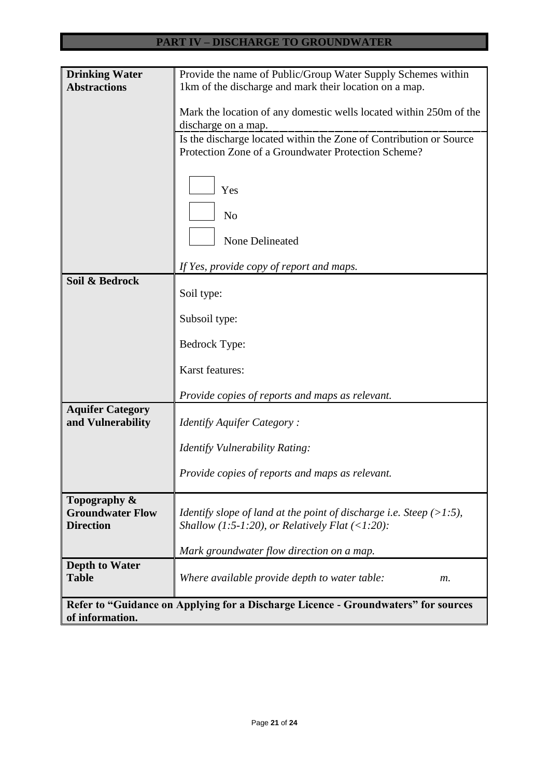| <b>Drinking Water</b>   | Provide the name of Public/Group Water Supply Schemes within                               |  |  |  |  |  |  |  |
|-------------------------|--------------------------------------------------------------------------------------------|--|--|--|--|--|--|--|
| <b>Abstractions</b>     | 1km of the discharge and mark their location on a map.                                     |  |  |  |  |  |  |  |
|                         |                                                                                            |  |  |  |  |  |  |  |
|                         | Mark the location of any domestic wells located within 250m of the                         |  |  |  |  |  |  |  |
|                         | discharge on a map.                                                                        |  |  |  |  |  |  |  |
|                         |                                                                                            |  |  |  |  |  |  |  |
|                         | Is the discharge located within the Zone of Contribution or Source                         |  |  |  |  |  |  |  |
|                         | Protection Zone of a Groundwater Protection Scheme?                                        |  |  |  |  |  |  |  |
|                         |                                                                                            |  |  |  |  |  |  |  |
|                         |                                                                                            |  |  |  |  |  |  |  |
|                         | Yes                                                                                        |  |  |  |  |  |  |  |
|                         |                                                                                            |  |  |  |  |  |  |  |
|                         | N <sub>o</sub>                                                                             |  |  |  |  |  |  |  |
|                         |                                                                                            |  |  |  |  |  |  |  |
|                         | <b>None Delineated</b>                                                                     |  |  |  |  |  |  |  |
|                         |                                                                                            |  |  |  |  |  |  |  |
|                         | If Yes, provide copy of report and maps.                                                   |  |  |  |  |  |  |  |
| Soil & Bedrock          |                                                                                            |  |  |  |  |  |  |  |
|                         | Soil type:                                                                                 |  |  |  |  |  |  |  |
|                         |                                                                                            |  |  |  |  |  |  |  |
|                         | Subsoil type:                                                                              |  |  |  |  |  |  |  |
|                         |                                                                                            |  |  |  |  |  |  |  |
|                         | <b>Bedrock Type:</b>                                                                       |  |  |  |  |  |  |  |
|                         |                                                                                            |  |  |  |  |  |  |  |
|                         | Karst features:                                                                            |  |  |  |  |  |  |  |
|                         |                                                                                            |  |  |  |  |  |  |  |
|                         | Provide copies of reports and maps as relevant.                                            |  |  |  |  |  |  |  |
| <b>Aquifer Category</b> |                                                                                            |  |  |  |  |  |  |  |
| and Vulnerability       | Identify Aquifer Category:                                                                 |  |  |  |  |  |  |  |
|                         |                                                                                            |  |  |  |  |  |  |  |
|                         | Identify Vulnerability Rating:                                                             |  |  |  |  |  |  |  |
|                         |                                                                                            |  |  |  |  |  |  |  |
|                         | Provide copies of reports and maps as relevant.                                            |  |  |  |  |  |  |  |
|                         |                                                                                            |  |  |  |  |  |  |  |
| Topography &            |                                                                                            |  |  |  |  |  |  |  |
| <b>Groundwater Flow</b> | <i>Identify slope of land at the point of discharge i.e. Steep <math>(&gt;1.5)</math>,</i> |  |  |  |  |  |  |  |
| <b>Direction</b>        | Shallow (1:5-1:20), or Relatively Flat $(\langle 1:20 \rangle)$ :                          |  |  |  |  |  |  |  |
|                         |                                                                                            |  |  |  |  |  |  |  |
|                         | Mark groundwater flow direction on a map.                                                  |  |  |  |  |  |  |  |
| <b>Depth to Water</b>   |                                                                                            |  |  |  |  |  |  |  |
| <b>Table</b>            | Where available provide depth to water table:<br>$m$ .                                     |  |  |  |  |  |  |  |
|                         |                                                                                            |  |  |  |  |  |  |  |
|                         | Refer to "Guidance on Applying for a Discharge Licence - Groundwaters" for sources         |  |  |  |  |  |  |  |
| of information.         |                                                                                            |  |  |  |  |  |  |  |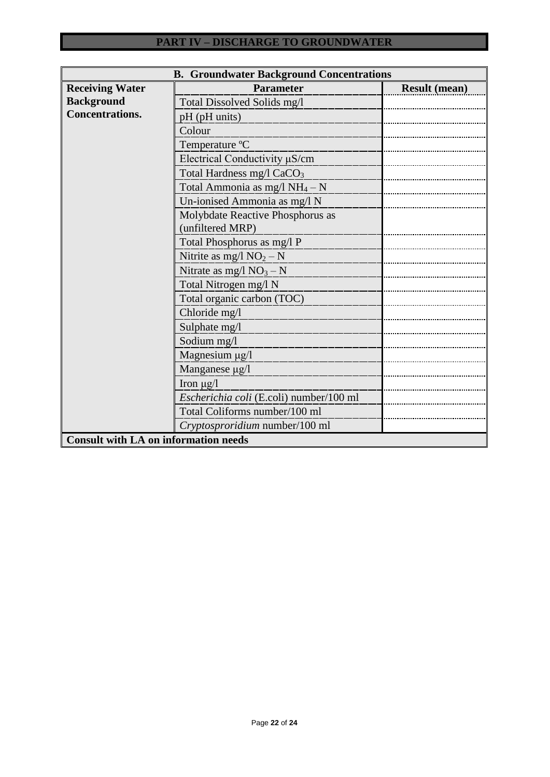| <b>B. Groundwater Background Concentrations</b> |                                         |                      |  |  |  |  |  |
|-------------------------------------------------|-----------------------------------------|----------------------|--|--|--|--|--|
| <b>Receiving Water</b>                          | <b>Parameter</b>                        | <b>Result (mean)</b> |  |  |  |  |  |
| <b>Background</b>                               | Total Dissolved Solids mg/l             |                      |  |  |  |  |  |
| <b>Concentrations.</b>                          | pH (pH units)                           |                      |  |  |  |  |  |
|                                                 | Colour                                  |                      |  |  |  |  |  |
|                                                 | Temperature °C                          |                      |  |  |  |  |  |
|                                                 | Electrical Conductivity µS/cm           |                      |  |  |  |  |  |
|                                                 | Total Hardness mg/l CaCO <sub>3</sub>   |                      |  |  |  |  |  |
|                                                 | Total Ammonia as mg/l $NH_4-N$          |                      |  |  |  |  |  |
|                                                 | Un-ionised Ammonia as mg/l N            |                      |  |  |  |  |  |
|                                                 | Molybdate Reactive Phosphorus as        |                      |  |  |  |  |  |
|                                                 | (unfiltered MRP)                        |                      |  |  |  |  |  |
|                                                 | Total Phosphorus as mg/l P              |                      |  |  |  |  |  |
|                                                 | Nitrite as mg/l $NO2 - N$               |                      |  |  |  |  |  |
|                                                 | Nitrate as mg/l $NO_3 - N$              |                      |  |  |  |  |  |
|                                                 | Total Nitrogen mg/l N                   |                      |  |  |  |  |  |
|                                                 | Total organic carbon (TOC)              |                      |  |  |  |  |  |
|                                                 | Chloride mg/l                           |                      |  |  |  |  |  |
|                                                 | Sulphate mg/l                           |                      |  |  |  |  |  |
|                                                 | Sodium mg/l                             |                      |  |  |  |  |  |
|                                                 | Magnesium µg/l                          |                      |  |  |  |  |  |
|                                                 | Manganese µg/l                          |                      |  |  |  |  |  |
|                                                 | Iron $\mu$ g/l                          |                      |  |  |  |  |  |
|                                                 | Escherichia coli (E.coli) number/100 ml |                      |  |  |  |  |  |
|                                                 | Total Coliforms number/100 ml           |                      |  |  |  |  |  |
|                                                 | Cryptosproridium number/100 ml          |                      |  |  |  |  |  |
| <b>Consult with LA on information needs</b>     |                                         |                      |  |  |  |  |  |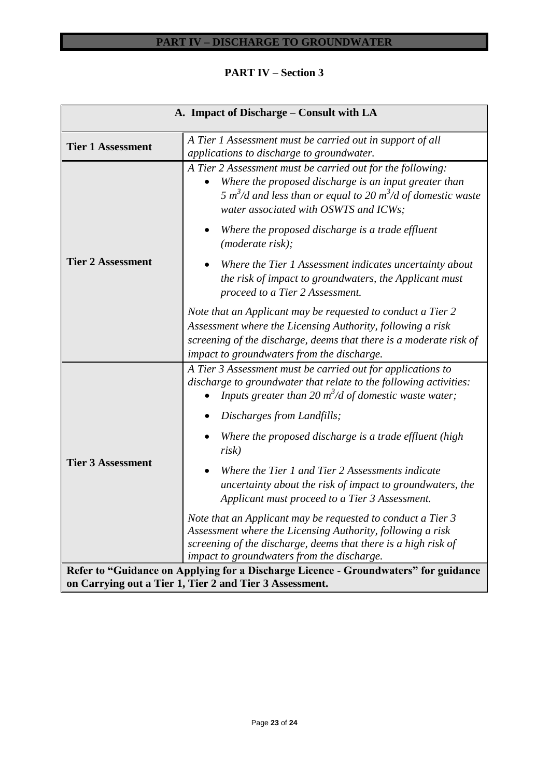# **PART IV – Section 3**

| A. Impact of Discharge – Consult with LA                                                                                                       |                                                                                                                                                                                                                                                      |  |  |  |  |  |  |
|------------------------------------------------------------------------------------------------------------------------------------------------|------------------------------------------------------------------------------------------------------------------------------------------------------------------------------------------------------------------------------------------------------|--|--|--|--|--|--|
| <b>Tier 1 Assessment</b>                                                                                                                       | A Tier 1 Assessment must be carried out in support of all<br>applications to discharge to groundwater.                                                                                                                                               |  |  |  |  |  |  |
|                                                                                                                                                | A Tier 2 Assessment must be carried out for the following:<br>Where the proposed discharge is an input greater than<br>5 m <sup>3</sup> /d and less than or equal to 20 m <sup>3</sup> /d of domestic waste<br>water associated with OSWTS and ICWs; |  |  |  |  |  |  |
|                                                                                                                                                | Where the proposed discharge is a trade effluent<br>(moderate risk);                                                                                                                                                                                 |  |  |  |  |  |  |
| <b>Tier 2 Assessment</b>                                                                                                                       | Where the Tier 1 Assessment indicates uncertainty about<br>the risk of impact to groundwaters, the Applicant must<br>proceed to a Tier 2 Assessment.                                                                                                 |  |  |  |  |  |  |
|                                                                                                                                                | Note that an Applicant may be requested to conduct a Tier 2<br>Assessment where the Licensing Authority, following a risk<br>screening of the discharge, deems that there is a moderate risk of<br>impact to groundwaters from the discharge.        |  |  |  |  |  |  |
|                                                                                                                                                | A Tier 3 Assessment must be carried out for applications to<br>discharge to groundwater that relate to the following activities:<br>Inputs greater than 20 $m^3/d$ of domestic waste water;                                                          |  |  |  |  |  |  |
|                                                                                                                                                | Discharges from Landfills;                                                                                                                                                                                                                           |  |  |  |  |  |  |
|                                                                                                                                                | Where the proposed discharge is a trade effluent (high<br>risk)                                                                                                                                                                                      |  |  |  |  |  |  |
| <b>Tier 3 Assessment</b>                                                                                                                       | Where the Tier 1 and Tier 2 Assessments indicate<br>uncertainty about the risk of impact to groundwaters, the<br>Applicant must proceed to a Tier 3 Assessment.                                                                                      |  |  |  |  |  |  |
|                                                                                                                                                | Note that an Applicant may be requested to conduct a Tier 3<br>Assessment where the Licensing Authority, following a risk<br>screening of the discharge, deems that there is a high risk of<br>impact to groundwaters from the discharge.            |  |  |  |  |  |  |
| Refer to "Guidance on Applying for a Discharge Licence - Groundwaters" for guidance<br>on Carrying out a Tier 1, Tier 2 and Tier 3 Assessment. |                                                                                                                                                                                                                                                      |  |  |  |  |  |  |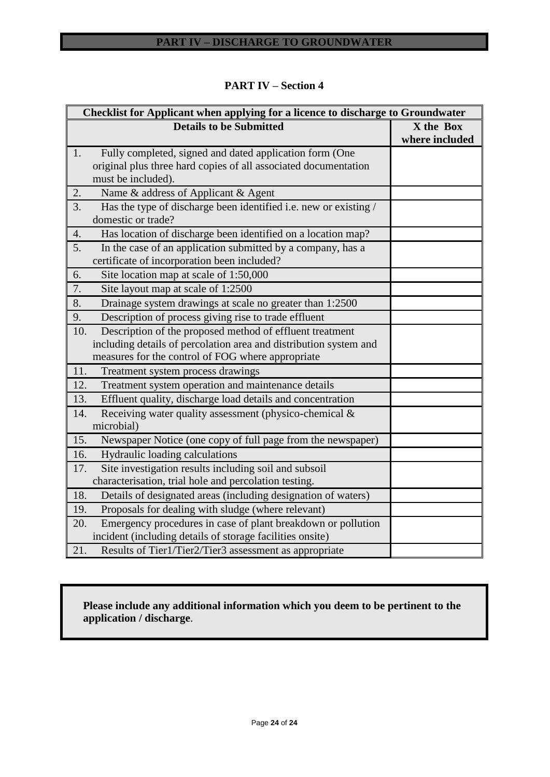| Checklist for Applicant when applying for a licence to discharge to Groundwater                                                                                                           |                             |  |  |  |  |  |
|-------------------------------------------------------------------------------------------------------------------------------------------------------------------------------------------|-----------------------------|--|--|--|--|--|
| <b>Details to be Submitted</b>                                                                                                                                                            | X the Box<br>where included |  |  |  |  |  |
| Fully completed, signed and dated application form (One<br>1.<br>original plus three hard copies of all associated documentation<br>must be included).                                    |                             |  |  |  |  |  |
| 2.<br>Name & address of Applicant & Agent                                                                                                                                                 |                             |  |  |  |  |  |
| Has the type of discharge been identified i.e. new or existing /<br>3.<br>domestic or trade?                                                                                              |                             |  |  |  |  |  |
| Has location of discharge been identified on a location map?<br>4.                                                                                                                        |                             |  |  |  |  |  |
| 5.<br>In the case of an application submitted by a company, has a<br>certificate of incorporation been included?                                                                          |                             |  |  |  |  |  |
| 6.<br>Site location map at scale of 1:50,000                                                                                                                                              |                             |  |  |  |  |  |
| 7.<br>Site layout map at scale of 1:2500                                                                                                                                                  |                             |  |  |  |  |  |
| 8.<br>Drainage system drawings at scale no greater than 1:2500                                                                                                                            |                             |  |  |  |  |  |
| Description of process giving rise to trade effluent<br>9.                                                                                                                                |                             |  |  |  |  |  |
| Description of the proposed method of effluent treatment<br>10.<br>including details of percolation area and distribution system and<br>measures for the control of FOG where appropriate |                             |  |  |  |  |  |
| 11.<br>Treatment system process drawings                                                                                                                                                  |                             |  |  |  |  |  |
| 12.<br>Treatment system operation and maintenance details                                                                                                                                 |                             |  |  |  |  |  |
| Effluent quality, discharge load details and concentration<br>13.                                                                                                                         |                             |  |  |  |  |  |
| 14.<br>Receiving water quality assessment (physico-chemical &<br>microbial)                                                                                                               |                             |  |  |  |  |  |
| 15.<br>Newspaper Notice (one copy of full page from the newspaper)                                                                                                                        |                             |  |  |  |  |  |
| Hydraulic loading calculations<br>16.                                                                                                                                                     |                             |  |  |  |  |  |
| Site investigation results including soil and subsoil<br>17.<br>characterisation, trial hole and percolation testing.                                                                     |                             |  |  |  |  |  |
| 18.<br>Details of designated areas (including designation of waters)                                                                                                                      |                             |  |  |  |  |  |
| Proposals for dealing with sludge (where relevant)<br>19.                                                                                                                                 |                             |  |  |  |  |  |
| Emergency procedures in case of plant breakdown or pollution<br>20.<br>incident (including details of storage facilities onsite)                                                          |                             |  |  |  |  |  |
| 21.<br>Results of Tier1/Tier2/Tier3 assessment as appropriate                                                                                                                             |                             |  |  |  |  |  |

# **PART IV – Section 4**

# **Please include any additional information which you deem to be pertinent to the application / discharge**.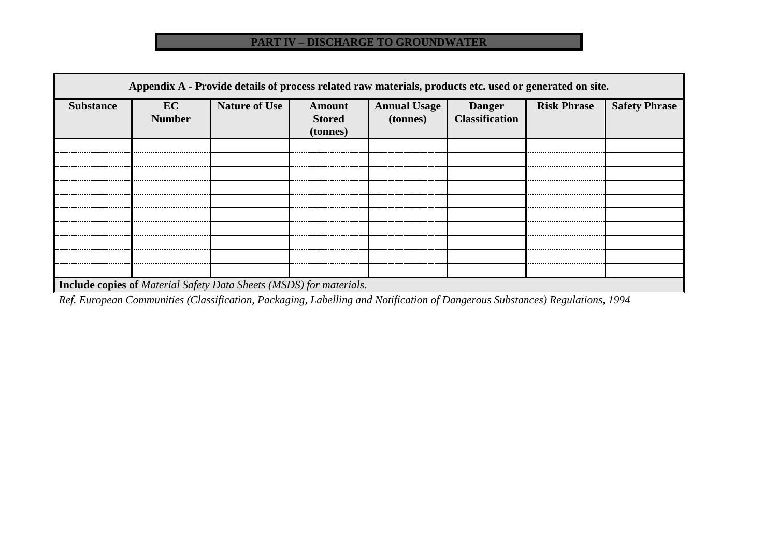| Appendix A - Provide details of process related raw materials, products etc. used or generated on site. |                     |                      |                                     |                                 |                                        |                    |                      |
|---------------------------------------------------------------------------------------------------------|---------------------|----------------------|-------------------------------------|---------------------------------|----------------------------------------|--------------------|----------------------|
| <b>Substance</b>                                                                                        | EC<br><b>Number</b> | <b>Nature of Use</b> | Amount<br><b>Stored</b><br>(tonnes) | <b>Annual Usage</b><br>(tonnes) | <b>Danger</b><br><b>Classification</b> | <b>Risk Phrase</b> | <b>Safety Phrase</b> |
|                                                                                                         |                     |                      |                                     |                                 |                                        |                    |                      |
|                                                                                                         |                     |                      |                                     |                                 |                                        |                    |                      |
|                                                                                                         |                     |                      |                                     |                                 |                                        |                    |                      |
|                                                                                                         |                     |                      |                                     |                                 |                                        |                    |                      |
|                                                                                                         |                     |                      |                                     |                                 |                                        |                    |                      |
|                                                                                                         |                     |                      |                                     |                                 |                                        |                    |                      |
|                                                                                                         |                     |                      |                                     |                                 |                                        |                    |                      |
|                                                                                                         |                     |                      |                                     |                                 |                                        |                    |                      |
|                                                                                                         |                     |                      |                                     |                                 |                                        |                    |                      |
|                                                                                                         |                     |                      |                                     |                                 |                                        |                    |                      |
| <b>Include copies of Material Safety Data Sheets (MSDS) for materials.</b>                              |                     |                      |                                     |                                 |                                        |                    |                      |

*Ref. European Communities (Classification, Packaging, Labelling and Notification of Dangerous Substances) Regulations, 1994*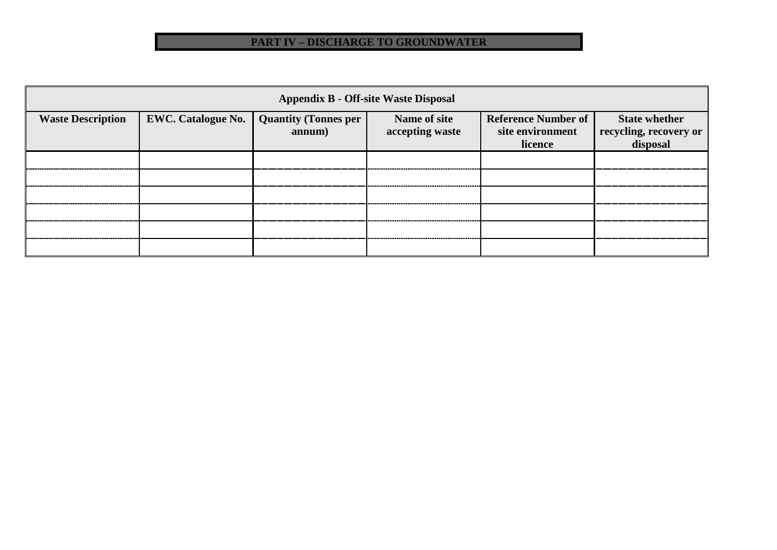|                          | <b>Appendix B - Off-site Waste Disposal</b> |                                       |                                 |                                                           |                                                            |  |  |
|--------------------------|---------------------------------------------|---------------------------------------|---------------------------------|-----------------------------------------------------------|------------------------------------------------------------|--|--|
| <b>Waste Description</b> | <b>EWC. Catalogue No.</b>                   | <b>Quantity (Tonnes per</b><br>annum) | Name of site<br>accepting waste | <b>Reference Number of</b><br>site environment<br>licence | <b>State whether</b><br>recycling, recovery or<br>disposal |  |  |
|                          |                                             |                                       |                                 |                                                           |                                                            |  |  |
|                          |                                             |                                       |                                 |                                                           |                                                            |  |  |
|                          |                                             |                                       |                                 |                                                           |                                                            |  |  |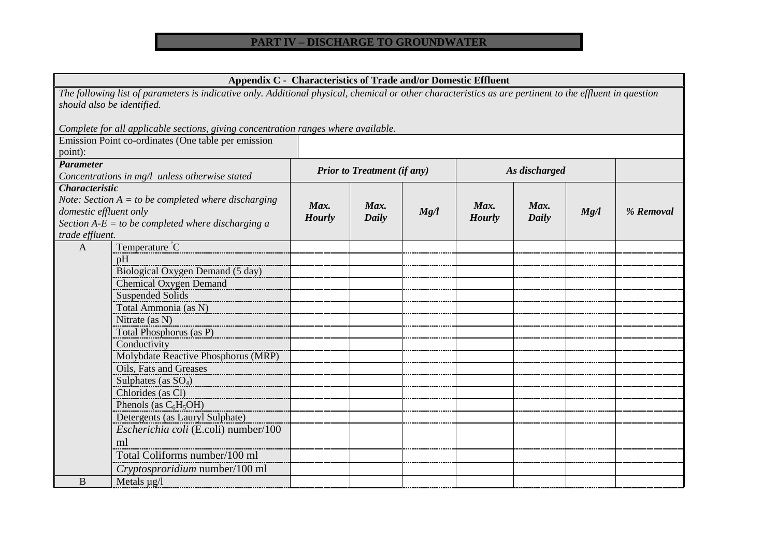# **Appendix C - Characteristics of Trade and/or Domestic Effluent**

*The following list of parameters is indicative only. Additional physical, chemical or other characteristics as are pertinent to the effluent in question should also be identified. Complete for all applicable sections, giving concentration ranges where available.*  Emission Point co-ordinates (One table per emission point): *Parameter Concentrations in mg/l unless otherwise stated Prior to Treatment (if any) As discharged Characteristic Note: Section A = to be completed where discharging domestic effluent only Section A-E = to be completed where discharging a trade effluent. Max. Hourly Max. Daily Mg/l Max. Hourly Max. Daily Mg/l % Removal* A Temperature  $\overline{C}$ pH Biological Oxygen Demand (5 day) Chemical Oxygen Demand Suspended Solids Total Ammonia (as N) Nitrate (as N) Total Phosphorus (as P) **Conductivity** Molybdate Reactive Phosphorus (MRP) Oils, Fats and Greases Sulphates (as  $SO<sub>4</sub>$ ) Chlorides (as Cl) Phenols (as  $C_6H_5OH$ ) Detergents (as Lauryl Sulphate) *Escherichia coli* (E.coli) number/100 ml Total Coliforms number/100 ml *Cryptosproridium* number/100 ml  $\mathbf{B}$  | Metals  $\mathbf{u}\mathbf{g}/\mathbf{l}$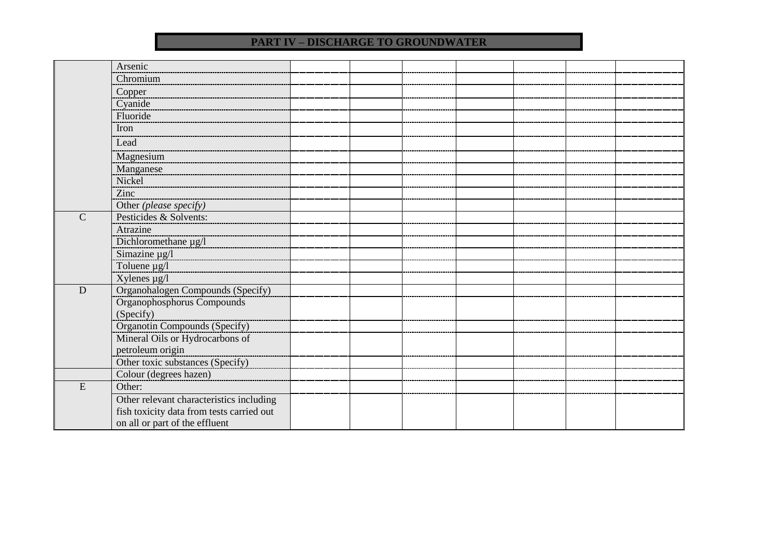|               | Arsenic                                   |  |  |  |  |
|---------------|-------------------------------------------|--|--|--|--|
|               | Chromium                                  |  |  |  |  |
|               | Copper                                    |  |  |  |  |
|               | Cyanide                                   |  |  |  |  |
|               | Fluoride                                  |  |  |  |  |
|               | Iron                                      |  |  |  |  |
|               | Lead                                      |  |  |  |  |
|               | Magnesium                                 |  |  |  |  |
|               | Manganese                                 |  |  |  |  |
|               | Nickel                                    |  |  |  |  |
|               | Zinc                                      |  |  |  |  |
|               | Other (please specify)                    |  |  |  |  |
| $\mathcal{C}$ | Pesticides & Solvents:                    |  |  |  |  |
|               | Atrazine                                  |  |  |  |  |
|               | Dichloromethane µg/l                      |  |  |  |  |
|               | Simazine $\mu$ g/l                        |  |  |  |  |
|               | Toluene µg/l                              |  |  |  |  |
|               | Xylenes $\mu$ g/l                         |  |  |  |  |
| $\mathbf D$   | Organohalogen Compounds (Specify)         |  |  |  |  |
|               | Organophosphorus Compounds                |  |  |  |  |
|               | (Specify)                                 |  |  |  |  |
|               | <b>Organotin Compounds (Specify)</b>      |  |  |  |  |
|               | Mineral Oils or Hydrocarbons of           |  |  |  |  |
|               | petroleum origin                          |  |  |  |  |
|               | Other toxic substances (Specify)          |  |  |  |  |
|               | Colour (degrees hazen)                    |  |  |  |  |
| E             | Other:                                    |  |  |  |  |
|               | Other relevant characteristics including  |  |  |  |  |
|               | fish toxicity data from tests carried out |  |  |  |  |
|               | on all or part of the effluent            |  |  |  |  |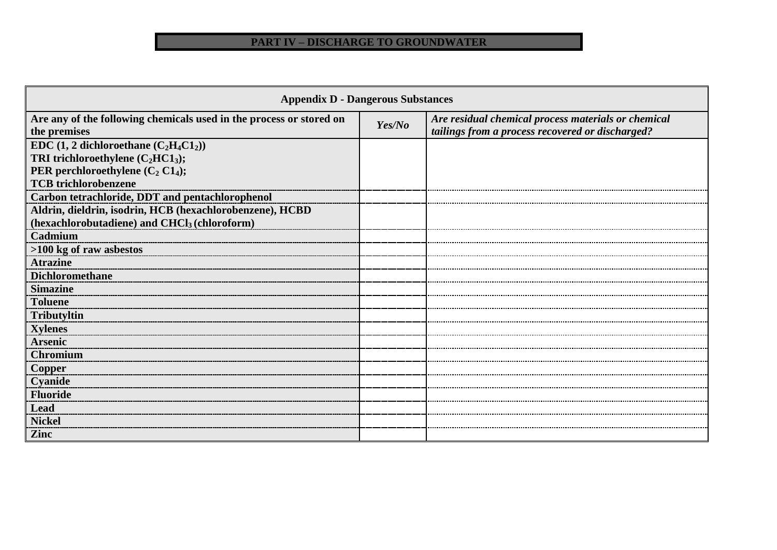| <b>Appendix D - Dangerous Substances</b>                                            |        |                                                                                                         |  |  |  |  |  |
|-------------------------------------------------------------------------------------|--------|---------------------------------------------------------------------------------------------------------|--|--|--|--|--|
| Are any of the following chemicals used in the process or stored on<br>the premises | Yes/No | Are residual chemical process materials or chemical<br>tailings from a process recovered or discharged? |  |  |  |  |  |
| EDC $(1, 2$ dichloroethane $(C_2H_4C1_2)$                                           |        |                                                                                                         |  |  |  |  |  |
| TRI trichloroethylene $(C_2HC1_3)$ ;                                                |        |                                                                                                         |  |  |  |  |  |
| PER perchloroethylene $(C_2 C1_4)$ ;                                                |        |                                                                                                         |  |  |  |  |  |
| <b>TCB</b> trichlorobenzene                                                         |        |                                                                                                         |  |  |  |  |  |
| Carbon tetrachloride, DDT and pentachlorophenol                                     |        |                                                                                                         |  |  |  |  |  |
| Aldrin, dieldrin, isodrin, HCB (hexachlorobenzene), HCBD                            |        |                                                                                                         |  |  |  |  |  |
| (hexachlorobutadiene) and CHCl <sub>3</sub> (chloroform)                            |        |                                                                                                         |  |  |  |  |  |
| Cadmium                                                                             |        |                                                                                                         |  |  |  |  |  |
| >100 kg of raw asbestos                                                             |        |                                                                                                         |  |  |  |  |  |
| <b>Atrazine</b>                                                                     |        |                                                                                                         |  |  |  |  |  |
| <b>Dichloromethane</b>                                                              |        |                                                                                                         |  |  |  |  |  |
| <b>Simazine</b>                                                                     |        |                                                                                                         |  |  |  |  |  |
| <b>Toluene</b>                                                                      |        |                                                                                                         |  |  |  |  |  |
| Tributyltin                                                                         |        |                                                                                                         |  |  |  |  |  |
| <b>Xylenes</b>                                                                      |        |                                                                                                         |  |  |  |  |  |
| <b>Arsenic</b>                                                                      |        |                                                                                                         |  |  |  |  |  |
| <b>Chromium</b>                                                                     |        |                                                                                                         |  |  |  |  |  |
| <b>Copper</b>                                                                       |        |                                                                                                         |  |  |  |  |  |
| Cyanide                                                                             |        |                                                                                                         |  |  |  |  |  |
| <b>Fluoride</b>                                                                     |        |                                                                                                         |  |  |  |  |  |
| <b>Lead</b>                                                                         |        |                                                                                                         |  |  |  |  |  |
| <b>Nickel</b>                                                                       |        |                                                                                                         |  |  |  |  |  |
| <b>Zinc</b>                                                                         |        |                                                                                                         |  |  |  |  |  |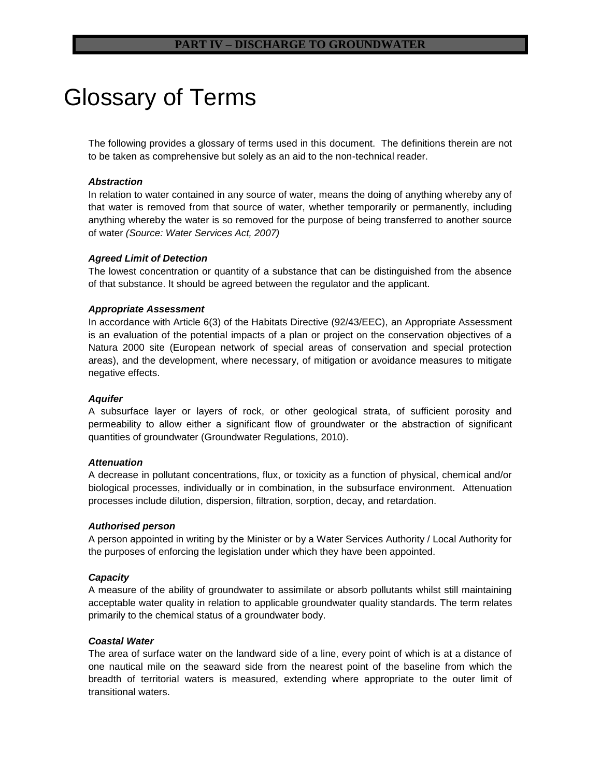# Glossary of Terms

The following provides a glossary of terms used in this document. The definitions therein are not to be taken as comprehensive but solely as an aid to the non-technical reader.

#### *Abstraction*

In relation to water contained in any source of water, means the doing of anything whereby any of that water is removed from that source of water, whether temporarily or permanently, including anything whereby the water is so removed for the purpose of being transferred to another source of water *(Source: Water Services Act, 2007)*

#### *Agreed Limit of Detection*

The lowest concentration or quantity of a substance that can be distinguished from the absence of that substance. It should be agreed between the regulator and the applicant.

#### *Appropriate Assessment*

In accordance with Article 6(3) of the Habitats Directive (92/43/EEC), an Appropriate Assessment is an evaluation of the potential impacts of a plan or project on the conservation objectives of a Natura 2000 site (European network of special areas of conservation and special protection areas), and the development, where necessary, of mitigation or avoidance measures to mitigate negative effects.

# *Aquifer*

A subsurface layer or layers of rock, or other geological strata, of sufficient porosity and permeability to allow either a significant flow of groundwater or the abstraction of significant quantities of groundwater (Groundwater Regulations, 2010).

#### *Attenuation*

A decrease in pollutant concentrations, flux, or toxicity as a function of physical, chemical and/or biological processes, individually or in combination, in the subsurface environment. Attenuation processes include dilution, dispersion, filtration, sorption, decay, and retardation.

#### *Authorised person*

A person appointed in writing by the Minister or by a Water Services Authority / Local Authority for the purposes of enforcing the legislation under which they have been appointed.

# *Capacity*

A measure of the ability of groundwater to assimilate or absorb pollutants whilst still maintaining acceptable water quality in relation to applicable groundwater quality standards. The term relates primarily to the chemical status of a groundwater body.

#### *Coastal Water*

The area of surface water on the landward side of a line, every point of which is at a distance of one nautical mile on the seaward side from the nearest point of the baseline from which the breadth of territorial waters is measured, extending where appropriate to the outer limit of transitional waters.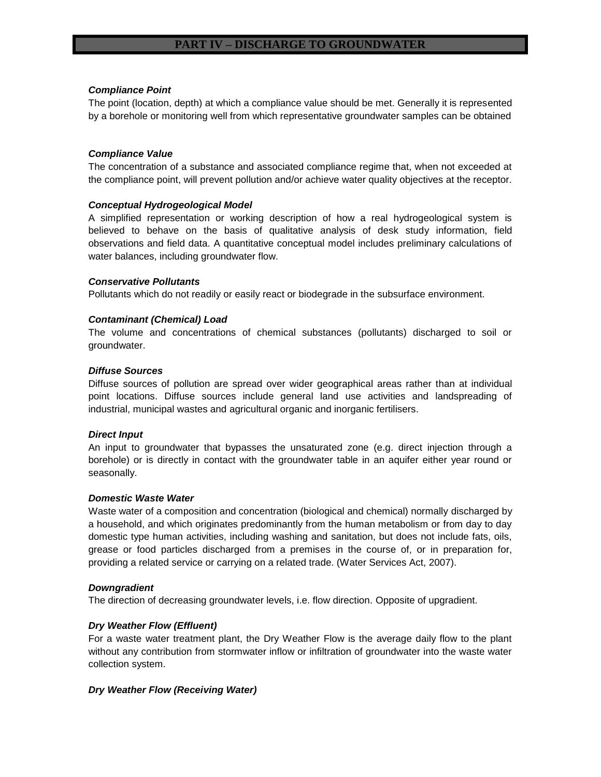# *Compliance Point*

The point (location, depth) at which a compliance value should be met. Generally it is represented by a borehole or monitoring well from which representative groundwater samples can be obtained

# *Compliance Value*

The concentration of a substance and associated compliance regime that, when not exceeded at the compliance point, will prevent pollution and/or achieve water quality objectives at the receptor.

# *Conceptual Hydrogeological Model*

A simplified representation or working description of how a real hydrogeological system is believed to behave on the basis of qualitative analysis of desk study information, field observations and field data. A quantitative conceptual model includes preliminary calculations of water balances, including groundwater flow.

# *Conservative Pollutants*

Pollutants which do not readily or easily react or biodegrade in the subsurface environment.

# *Contaminant (Chemical) Load*

The volume and concentrations of chemical substances (pollutants) discharged to soil or groundwater.

# *Diffuse Sources*

Diffuse sources of pollution are spread over wider geographical areas rather than at individual point locations. Diffuse sources include general land use activities and landspreading of industrial, municipal wastes and agricultural organic and inorganic fertilisers.

# *Direct Input*

An input to groundwater that bypasses the unsaturated zone (e.g. direct injection through a borehole) or is directly in contact with the groundwater table in an aquifer either year round or seasonally.

# *Domestic Waste Water*

Waste water of a composition and concentration (biological and chemical) normally discharged by a household, and which originates predominantly from the human metabolism or from day to day domestic type human activities, including washing and sanitation, but does not include fats, oils, grease or food particles discharged from a premises in the course of, or in preparation for, providing a related service or carrying on a related trade. (Water Services Act, 2007).

# *Downgradient*

The direction of decreasing groundwater levels, i.e. flow direction. Opposite of upgradient.

# *Dry Weather Flow (Effluent)*

For a waste water treatment plant, the Dry Weather Flow is the average daily flow to the plant without any contribution from stormwater inflow or infiltration of groundwater into the waste water collection system.

# *Dry Weather Flow (Receiving Water)*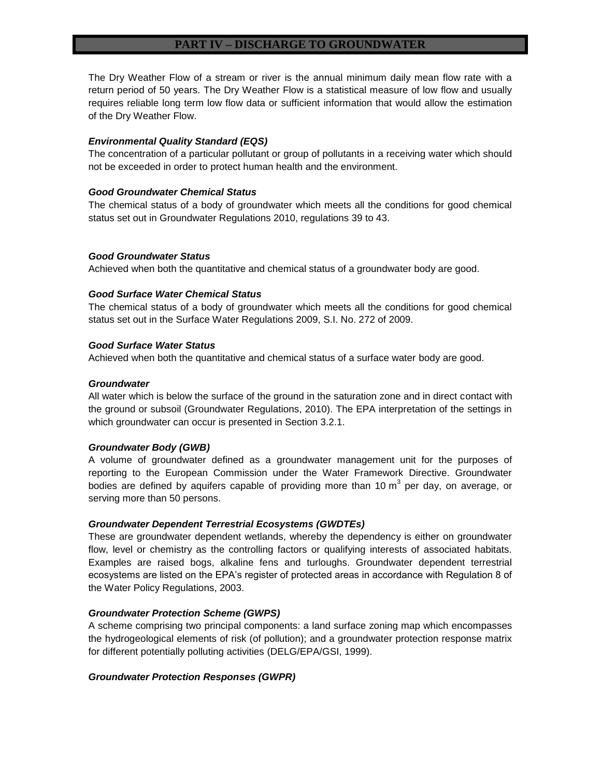The Dry Weather Flow of a stream or river is the annual minimum daily mean flow rate with a return period of 50 years. The Dry Weather Flow is a statistical measure of low flow and usually requires reliable long term low flow data or sufficient information that would allow the estimation of the Dry Weather Flow.

#### *Environmental Quality Standard (EQS)*

The concentration of a particular pollutant or group of pollutants in a receiving water which should not be exceeded in order to protect human health and the environment.

#### *Good Groundwater Chemical Status*

The chemical status of a body of groundwater which meets all the conditions for good chemical status set out in Groundwater Regulations 2010, regulations 39 to 43.

#### *Good Groundwater Status*

Achieved when both the quantitative and chemical status of a groundwater body are good.

#### *Good Surface Water Chemical Status*

The chemical status of a body of groundwater which meets all the conditions for good chemical status set out in the Surface Water Regulations 2009, S.I. No. 272 of 2009.

#### *Good Surface Water Status*

Achieved when both the quantitative and chemical status of a surface water body are good.

#### *Groundwater*

All water which is below the surface of the ground in the saturation zone and in direct contact with the ground or subsoil (Groundwater Regulations, 2010). The EPA interpretation of the settings in which groundwater can occur is presented in Section 3.2.1.

#### *Groundwater Body (GWB)*

A volume of groundwater defined as a groundwater management unit for the purposes of reporting to the European Commission under the Water Framework Directive. Groundwater bodies are defined by aquifers capable of providing more than 10 m<sup>3</sup> per day, on average, or serving more than 50 persons.

#### *Groundwater Dependent Terrestrial Ecosystems (GWDTEs)*

These are groundwater dependent wetlands, whereby the dependency is either on groundwater flow, level or chemistry as the controlling factors or qualifying interests of associated habitats. Examples are raised bogs, alkaline fens and turloughs. Groundwater dependent terrestrial ecosystems are listed on the EPA's register of protected areas in accordance with Regulation 8 of the Water Policy Regulations, 2003.

#### *Groundwater Protection Scheme (GWPS)*

A scheme comprising two principal components: a land surface zoning map which encompasses the hydrogeological elements of risk (of pollution); and a groundwater protection response matrix for different potentially polluting activities (DELG/EPA/GSI, 1999).

# *Groundwater Protection Responses (GWPR)*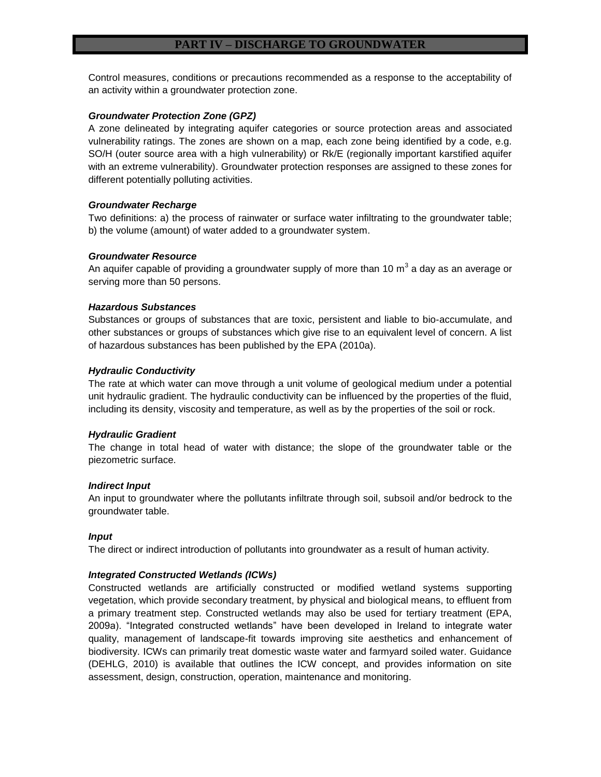Control measures, conditions or precautions recommended as a response to the acceptability of an activity within a groundwater protection zone.

#### *Groundwater Protection Zone (GPZ)*

A zone delineated by integrating aquifer categories or source protection areas and associated vulnerability ratings. The zones are shown on a map, each zone being identified by a code, e.g. SO/H (outer source area with a high vulnerability) or Rk/E (regionally important karstified aquifer with an extreme vulnerability). Groundwater protection responses are assigned to these zones for different potentially polluting activities.

# *Groundwater Recharge*

Two definitions: a) the process of rainwater or surface water infiltrating to the groundwater table; b) the volume (amount) of water added to a groundwater system.

#### *Groundwater Resource*

An aquifer capable of providing a groundwater supply of more than 10 m<sup>3</sup> a day as an average or serving more than 50 persons.

#### *Hazardous Substances*

Substances or groups of substances that are toxic, persistent and liable to bio-accumulate, and other substances or groups of substances which give rise to an equivalent level of concern. A list of hazardous substances has been published by the EPA (2010a).

#### *Hydraulic Conductivity*

The rate at which water can move through a unit volume of geological medium under a potential unit hydraulic gradient. The hydraulic conductivity can be influenced by the properties of the fluid, including its density, viscosity and temperature, as well as by the properties of the soil or rock.

# *Hydraulic Gradient*

The change in total head of water with distance; the slope of the groundwater table or the piezometric surface.

#### *Indirect Input*

An input to groundwater where the pollutants infiltrate through soil, subsoil and/or bedrock to the groundwater table.

#### *Input*

The direct or indirect introduction of pollutants into groundwater as a result of human activity.

#### *Integrated Constructed Wetlands (ICWs)*

Constructed wetlands are artificially constructed or modified wetland systems supporting vegetation, which provide secondary treatment, by physical and biological means, to effluent from a primary treatment step. Constructed wetlands may also be used for tertiary treatment (EPA, 2009a). "Integrated constructed wetlands" have been developed in Ireland to integrate water quality, management of landscape-fit towards improving site aesthetics and enhancement of biodiversity. ICWs can primarily treat domestic waste water and farmyard soiled water. Guidance (DEHLG, 2010) is available that outlines the ICW concept, and provides information on site assessment, design, construction, operation, maintenance and monitoring.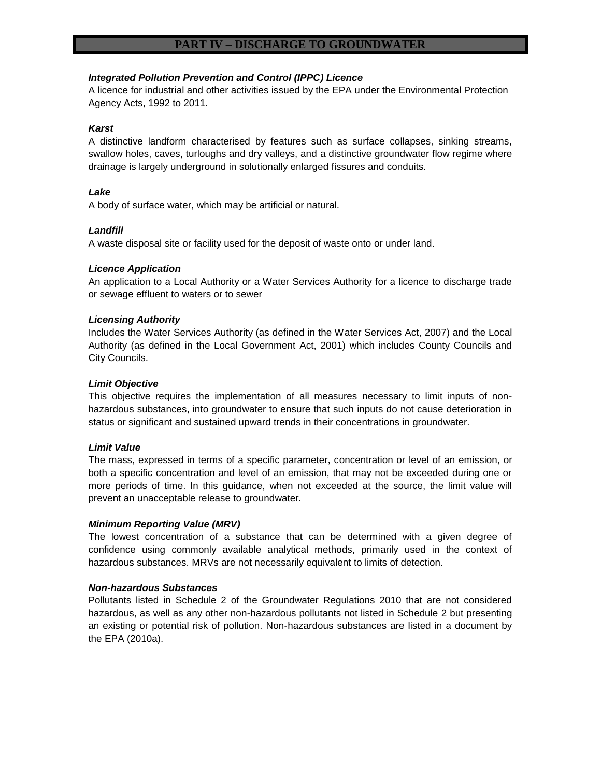# *Integrated Pollution Prevention and Control (IPPC) Licence*

A licence for industrial and other activities issued by the EPA under the Environmental Protection Agency Acts, 1992 to 2011.

# *Karst*

A distinctive landform characterised by features such as surface collapses, sinking streams, swallow holes, caves, turloughs and dry valleys, and a distinctive groundwater flow regime where drainage is largely underground in solutionally enlarged fissures and conduits.

# *Lake*

A body of surface water, which may be artificial or natural.

#### *Landfill*

A waste disposal site or facility used for the deposit of waste onto or under land.

#### *Licence Application*

An application to a Local Authority or a Water Services Authority for a licence to discharge trade or sewage effluent to waters or to sewer

#### *Licensing Authority*

Includes the Water Services Authority (as defined in the Water Services Act, 2007) and the Local Authority (as defined in the Local Government Act, 2001) which includes County Councils and City Councils.

#### *Limit Objective*

This objective requires the implementation of all measures necessary to limit inputs of nonhazardous substances, into groundwater to ensure that such inputs do not cause deterioration in status or significant and sustained upward trends in their concentrations in groundwater.

#### *Limit Value*

The mass, expressed in terms of a specific parameter, concentration or level of an emission, or both a specific concentration and level of an emission, that may not be exceeded during one or more periods of time. In this guidance, when not exceeded at the source, the limit value will prevent an unacceptable release to groundwater*.*

#### *Minimum Reporting Value (MRV)*

The lowest concentration of a substance that can be determined with a given degree of confidence using commonly available analytical methods, primarily used in the context of hazardous substances. MRVs are not necessarily equivalent to limits of detection.

#### *Non-hazardous Substances*

Pollutants listed in Schedule 2 of the Groundwater Regulations 2010 that are not considered hazardous, as well as any other non-hazardous pollutants not listed in Schedule 2 but presenting an existing or potential risk of pollution. Non-hazardous substances are listed in a document by the EPA (2010a).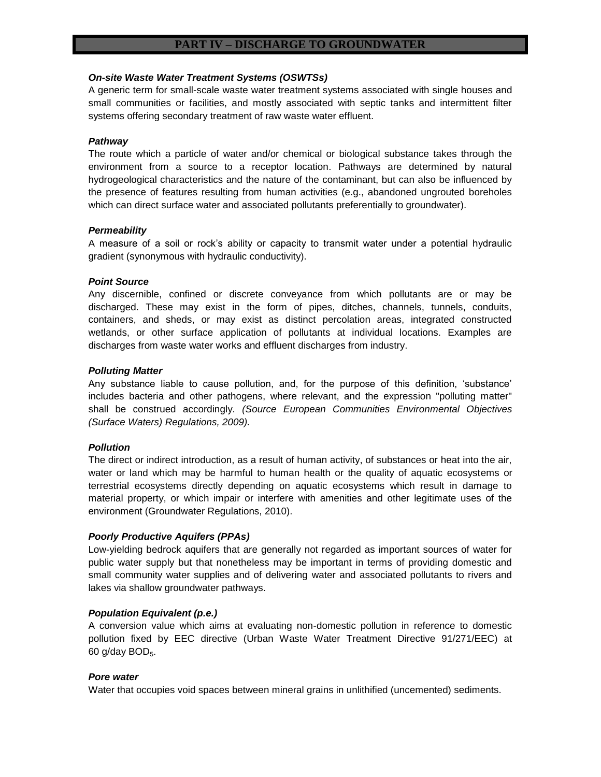#### *On-site Waste Water Treatment Systems (OSWTSs)*

A generic term for small-scale waste water treatment systems associated with single houses and small communities or facilities, and mostly associated with septic tanks and intermittent filter systems offering secondary treatment of raw waste water effluent.

# *Pathway*

The route which a particle of water and/or chemical or biological substance takes through the environment from a source to a receptor location. Pathways are determined by natural hydrogeological characteristics and the nature of the contaminant, but can also be influenced by the presence of features resulting from human activities (e.g., abandoned ungrouted boreholes which can direct surface water and associated pollutants preferentially to groundwater).

# *Permeability*

A measure of a soil or rock's ability or capacity to transmit water under a potential hydraulic gradient (synonymous with hydraulic conductivity).

# *Point Source*

Any discernible, confined or discrete conveyance from which pollutants are or may be discharged. These may exist in the form of pipes, ditches, channels, tunnels, conduits, containers, and sheds, or may exist as distinct percolation areas, integrated constructed wetlands, or other surface application of pollutants at individual locations. Examples are discharges from waste water works and effluent discharges from industry.

# *Polluting Matter*

Any substance liable to cause pollution, and, for the purpose of this definition, 'substance' includes bacteria and other pathogens, where relevant, and the expression "polluting matter" shall be construed accordingly. *(Source European Communities Environmental Objectives (Surface Waters) Regulations, 2009).*

# *Pollution*

The direct or indirect introduction, as a result of human activity, of substances or heat into the air, water or land which may be harmful to human health or the quality of aquatic ecosystems or terrestrial ecosystems directly depending on aquatic ecosystems which result in damage to material property, or which impair or interfere with amenities and other legitimate uses of the environment (Groundwater Regulations, 2010).

# *Poorly Productive Aquifers (PPAs)*

Low-yielding bedrock aquifers that are generally not regarded as important sources of water for public water supply but that nonetheless may be important in terms of providing domestic and small community water supplies and of delivering water and associated pollutants to rivers and lakes via shallow groundwater pathways.

# *Population Equivalent (p.e.)*

A conversion value which aims at evaluating non-domestic pollution in reference to domestic pollution fixed by EEC directive (Urban Waste Water Treatment Directive 91/271/EEC) at 60 g/day  $BOD<sub>5</sub>$ .

# *Pore water*

Water that occupies void spaces between mineral grains in unlithified (uncemented) sediments.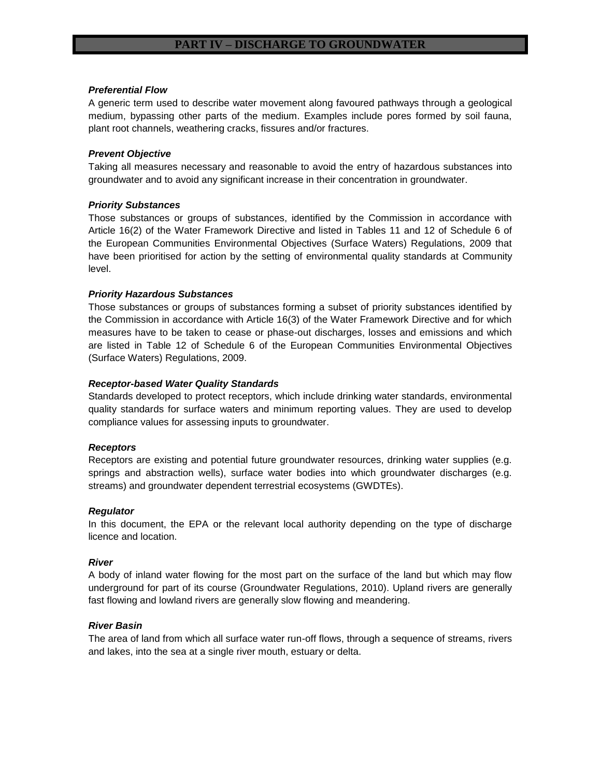#### *Preferential Flow*

A generic term used to describe water movement along favoured pathways through a geological medium, bypassing other parts of the medium. Examples include pores formed by soil fauna, plant root channels, weathering cracks, fissures and/or fractures.

# *Prevent Objective*

Taking all measures necessary and reasonable to avoid the entry of hazardous substances into groundwater and to avoid any significant increase in their concentration in groundwater.

#### *Priority Substances*

Those substances or groups of substances, identified by the Commission in accordance with Article 16(2) of the Water Framework Directive and listed in Tables 11 and 12 of Schedule 6 of the European Communities Environmental Objectives (Surface Waters) Regulations, 2009 that have been prioritised for action by the setting of environmental quality standards at Community level.

#### *Priority Hazardous Substances*

Those substances or groups of substances forming a subset of priority substances identified by the Commission in accordance with Article 16(3) of the Water Framework Directive and for which measures have to be taken to cease or phase-out discharges, losses and emissions and which are listed in Table 12 of Schedule 6 of the European Communities Environmental Objectives (Surface Waters) Regulations, 2009.

#### *Receptor-based Water Quality Standards*

Standards developed to protect receptors, which include drinking water standards, environmental quality standards for surface waters and minimum reporting values. They are used to develop compliance values for assessing inputs to groundwater.

#### *Receptors*

Receptors are existing and potential future groundwater resources, drinking water supplies (e.g. springs and abstraction wells), surface water bodies into which groundwater discharges (e.g. streams) and groundwater dependent terrestrial ecosystems (GWDTEs).

#### *Regulator*

In this document, the EPA or the relevant local authority depending on the type of discharge licence and location.

#### *River*

A body of inland water flowing for the most part on the surface of the land but which may flow underground for part of its course (Groundwater Regulations, 2010). Upland rivers are generally fast flowing and lowland rivers are generally slow flowing and meandering.

# *River Basin*

The area of land from which all surface water run-off flows, through a sequence of streams, rivers and lakes, into the sea at a single river mouth, estuary or delta.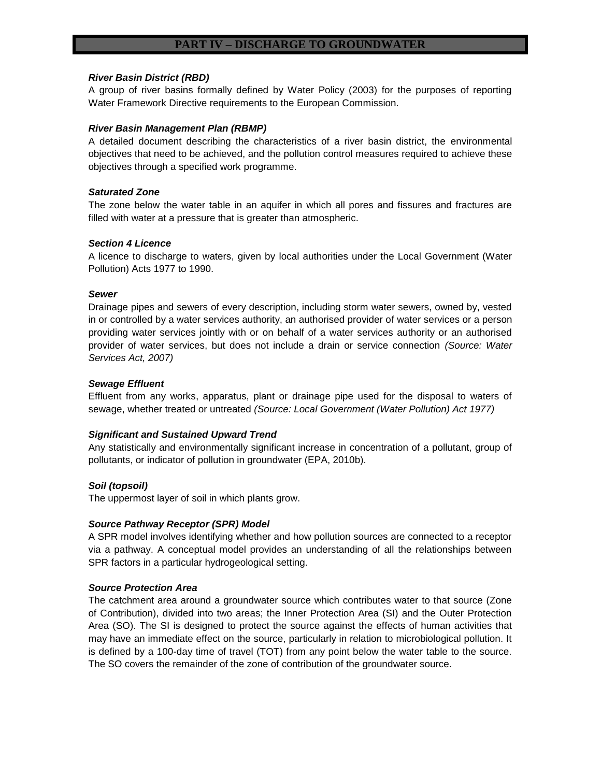#### *River Basin District (RBD)*

A group of river basins formally defined by Water Policy (2003) for the purposes of reporting Water Framework Directive requirements to the European Commission.

#### *River Basin Management Plan (RBMP)*

A detailed document describing the characteristics of a river basin district, the environmental objectives that need to be achieved, and the pollution control measures required to achieve these objectives through a specified work programme.

#### *Saturated Zone*

The zone below the water table in an aquifer in which all pores and fissures and fractures are filled with water at a pressure that is greater than atmospheric.

#### *Section 4 Licence*

A licence to discharge to waters, given by local authorities under the Local Government (Water Pollution) Acts 1977 to 1990.

#### *Sewer*

Drainage pipes and sewers of every description, including storm water sewers, owned by, vested in or controlled by a water services authority, an authorised provider of water services or a person providing water services jointly with or on behalf of a water services authority or an authorised provider of water services, but does not include a drain or service connection *(Source: Water Services Act, 2007)*

#### *Sewage Effluent*

Effluent from any works, apparatus, plant or drainage pipe used for the disposal to waters of sewage, whether treated or untreated *(Source: Local Government (Water Pollution) Act 1977)*

# *Significant and Sustained Upward Trend*

Any statistically and environmentally significant increase in concentration of a pollutant, group of pollutants, or indicator of pollution in groundwater (EPA, 2010b).

#### *Soil (topsoil)*

The uppermost layer of soil in which plants grow.

#### *Source Pathway Receptor (SPR) Model*

A SPR model involves identifying whether and how pollution sources are connected to a receptor via a pathway. A conceptual model provides an understanding of all the relationships between SPR factors in a particular hydrogeological setting.

#### *Source Protection Area*

The catchment area around a groundwater source which contributes water to that source (Zone of Contribution), divided into two areas; the Inner Protection Area (SI) and the Outer Protection Area (SO). The SI is designed to protect the source against the effects of human activities that may have an immediate effect on the source, particularly in relation to microbiological pollution. It is defined by a 100-day time of travel (TOT) from any point below the water table to the source. The SO covers the remainder of the zone of contribution of the groundwater source.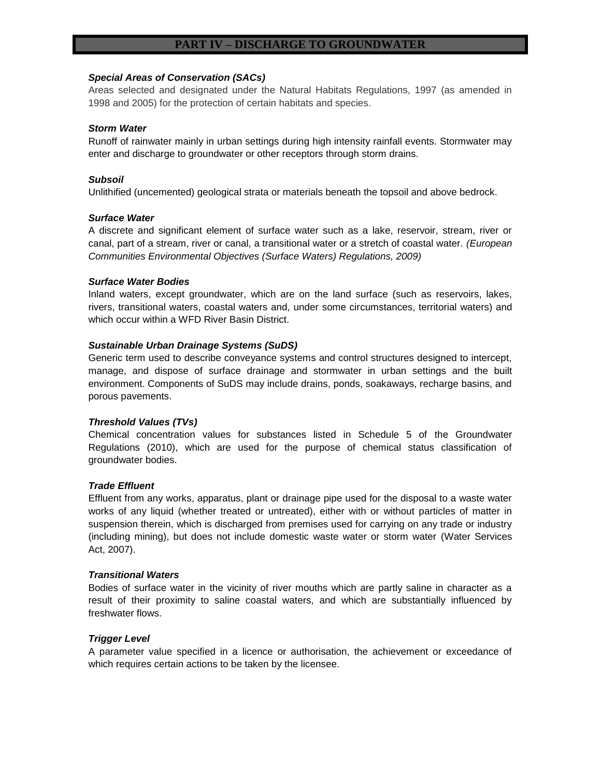# *Special Areas of Conservation (SACs)*

Areas selected and designated under the Natural Habitats Regulations, 1997 (as amended in 1998 and 2005) for the protection of certain habitats and species.

#### *Storm Water*

Runoff of rainwater mainly in urban settings during high intensity rainfall events. Stormwater may enter and discharge to groundwater or other receptors through storm drains.

#### *Subsoil*

Unlithified (uncemented) geological strata or materials beneath the topsoil and above bedrock.

#### *Surface Water*

A discrete and significant element of surface water such as a lake, reservoir, stream, river or canal, part of a stream, river or canal, a transitional water or a stretch of coastal water. *(European Communities Environmental Objectives (Surface Waters) Regulations, 2009)*

#### *Surface Water Bodies*

Inland waters, except groundwater, which are on the land surface (such as reservoirs, lakes, rivers, transitional waters, coastal waters and, under some circumstances, territorial waters) and which occur within a WFD River Basin District.

# *Sustainable Urban Drainage Systems (SuDS)*

Generic term used to describe conveyance systems and control structures designed to intercept, manage, and dispose of surface drainage and stormwater in urban settings and the built environment. Components of SuDS may include drains, ponds, soakaways, recharge basins, and porous pavements.

# *Threshold Values (TVs)*

Chemical concentration values for substances listed in Schedule 5 of the Groundwater Regulations (2010), which are used for the purpose of chemical status classification of groundwater bodies.

# *Trade Effluent*

Effluent from any works, apparatus, plant or drainage pipe used for the disposal to a waste water works of any liquid (whether treated or untreated), either with or without particles of matter in suspension therein, which is discharged from premises used for carrying on any trade or industry (including mining), but does not include domestic waste water or storm water (Water Services Act, 2007).

#### *Transitional Waters*

Bodies of surface water in the vicinity of river mouths which are partly saline in character as a result of their proximity to saline coastal waters, and which are substantially influenced by freshwater flows.

# *Trigger Level*

A parameter value specified in a licence or authorisation, the achievement or exceedance of which requires certain actions to be taken by the licensee.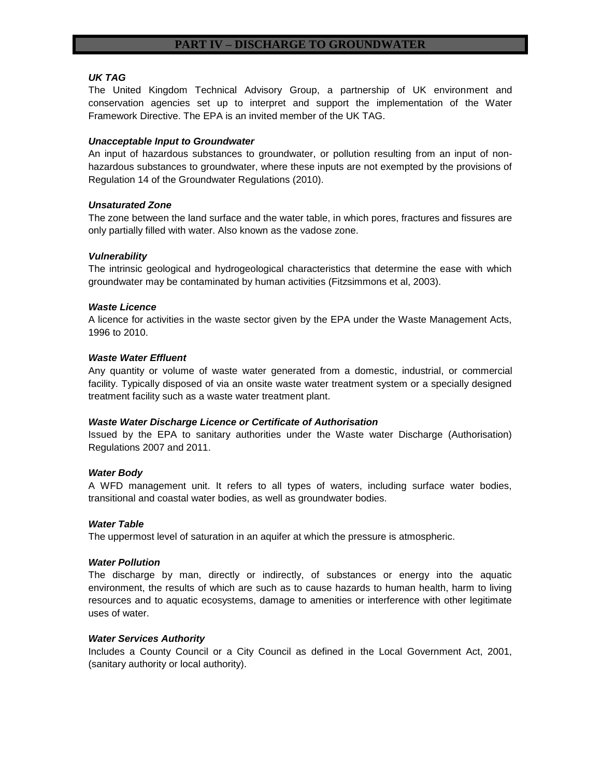# *UK TAG*

The United Kingdom Technical Advisory Group, a partnership of UK environment and conservation agencies set up to interpret and support the implementation of the Water Framework Directive. The EPA is an invited member of the UK TAG.

# *Unacceptable Input to Groundwater*

An input of hazardous substances to groundwater, or pollution resulting from an input of nonhazardous substances to groundwater, where these inputs are not exempted by the provisions of Regulation 14 of the Groundwater Regulations (2010).

# *Unsaturated Zone*

The zone between the land surface and the water table, in which pores, fractures and fissures are only partially filled with water. Also known as the vadose zone.

# *Vulnerability*

The intrinsic geological and hydrogeological characteristics that determine the ease with which groundwater may be contaminated by human activities (Fitzsimmons et al, 2003).

# *Waste Licence*

A licence for activities in the waste sector given by the EPA under the Waste Management Acts, 1996 to 2010.

# *Waste Water Effluent*

Any quantity or volume of waste water generated from a domestic, industrial, or commercial facility. Typically disposed of via an onsite waste water treatment system or a specially designed treatment facility such as a waste water treatment plant.

# *Waste Water Discharge Licence or Certificate of Authorisation*

Issued by the EPA to sanitary authorities under the Waste water Discharge (Authorisation) Regulations 2007 and 2011.

# *Water Body*

A WFD management unit. It refers to all types of waters, including surface water bodies, transitional and coastal water bodies, as well as groundwater bodies.

# *Water Table*

The uppermost level of saturation in an aquifer at which the pressure is atmospheric.

# *Water Pollution*

The discharge by man, directly or indirectly, of substances or energy into the aquatic environment, the results of which are such as to cause hazards to human health, harm to living resources and to aquatic ecosystems, damage to amenities or interference with other legitimate uses of water.

# *Water Services Authority*

Includes a County Council or a City Council as defined in the Local Government Act, 2001, (sanitary authority or local authority).